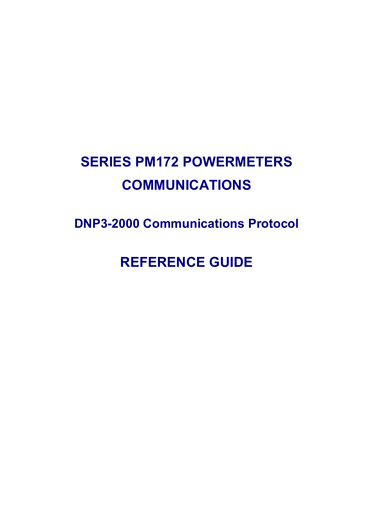# **SERIES PM172 POWERMETERS COMMUNICATIONS**

**DNP3-2000 Communications Protocol** 

**REFERENCE GUIDE**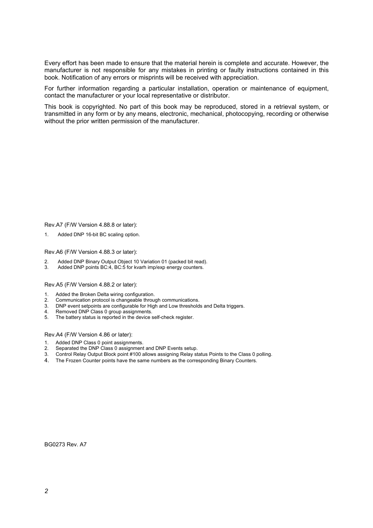Every effort has been made to ensure that the material herein is complete and accurate. However, the manufacturer is not responsible for any mistakes in printing or faulty instructions contained in this book. Notification of any errors or misprints will be received with appreciation.

For further information regarding a particular installation, operation or maintenance of equipment, contact the manufacturer or your local representative or distributor.

This book is copyrighted. No part of this book may be reproduced, stored in a retrieval system, or transmitted in any form or by any means, electronic, mechanical, photocopying, recording or otherwise without the prior written permission of the manufacturer.

Rev.A7 (F/W Version 4.88.8 or later):

1. Added DNP 16-bit BC scaling option.

Rev.A6 (F/W Version 4.88.3 or later):

- 2. Added DNP Binary Output Object 10 Variation 01 (packed bit read).
- 3. Added DNP points BC:4, BC:5 for kvarh imp/exp energy counters.

Rev.A5 (F/W Version 4.88.2 or later):

- 1. Added the Broken Delta wiring configuration.<br>2. Communication protocol is changeable through
- 2. Communication protocol is changeable through communications.<br>
3. DNP event setpoints are configurable for High and Low threshold
- 3. DNP event setpoints are configurable for High and Low thresholds and Delta triggers.
- 4. Removed DNP Class 0 group assignments.<br>5. The battery status is reported in the device s
- The battery status is reported in the device self-check register.

Rev.A4 (F/W Version 4.86 or later):

- 1. Added DNP Class 0 point assignments.
- 2. Separated the DNP Class 0 assignment and DNP Events setup.<br>3. Control Relay Output Block point #100 allows assigning Relay st
- 3. Control Relay Output Block point #100 allows assigning Relay status Points to the Class 0 polling.
- 4. The Frozen Counter points have the same numbers as the corresponding Binary Counters.

BG0273 Rev. A7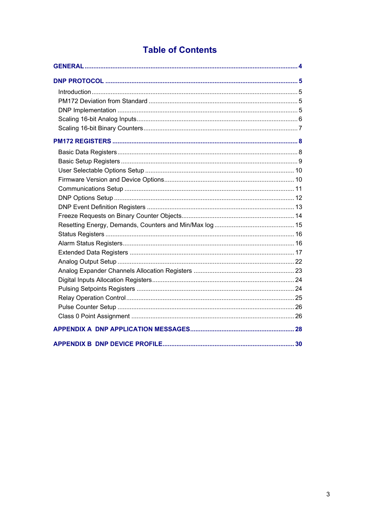## **Table of Contents**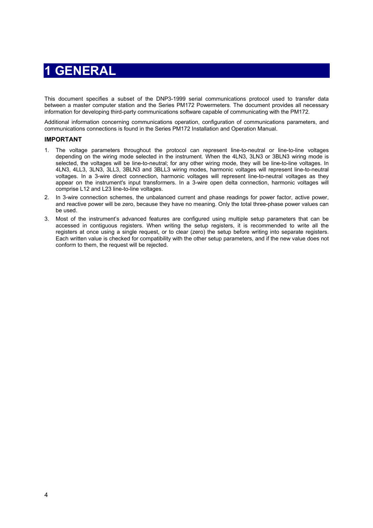## **1 GENERAL**

<span id="page-3-0"></span>This document specifies a subset of the DNP3-1999 serial communications protocol used to transfer data between a master computer station and the Series PM172 Powermeters. The document provides all necessary information for developing third-party communications software capable of communicating with the PM172.

Additional information concerning communications operation, configuration of communications parameters, and communications connections is found in the Series PM172 Installation and Operation Manual.

#### **IMPORTANT**

- 1. The voltage parameters throughout the protocol can represent line-to-neutral or line-to-line voltages depending on the wiring mode selected in the instrument. When the 4LN3, 3LN3 or 3BLN3 wiring mode is selected, the voltages will be line-to-neutral; for any other wiring mode, they will be line-to-line voltages. In 4LN3, 4LL3, 3LN3, 3LL3, 3BLN3 and 3BLL3 wiring modes, harmonic voltages will represent line-to-neutral voltages. In a 3-wire direct connection, harmonic voltages will represent line-to-neutral voltages as they appear on the instrument's input transformers. In a 3-wire open delta connection, harmonic voltages will comprise L12 and L23 line-to-line voltages.
- 2. In 3-wire connection schemes, the unbalanced current and phase readings for power factor, active power, and reactive power will be zero, because they have no meaning. Only the total three-phase power values can be used.
- 3. Most of the instrument's advanced features are configured using multiple setup parameters that can be accessed in contiguous registers. When writing the setup registers, it is recommended to write all the registers at once using a single request, or to clear (zero) the setup before writing into separate registers. Each written value is checked for compatibility with the other setup parameters, and if the new value does not conform to them, the request will be rejected.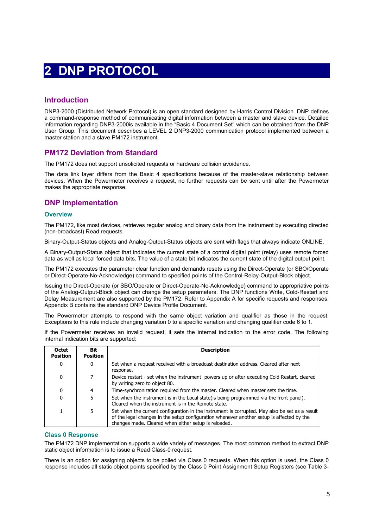## **2 DNP PROTOCOL**

## <span id="page-4-1"></span><span id="page-4-0"></span>**Introduction**

DNP3-2000 (Distributed Network Protocol) is an open standard designed by Harris Control Division. DNP defines a command-response method of communicating digital information between a master and slave device. Detailed information regarding DNP3-2000is available in the "Basic 4 Document Set" which can be obtained from the DNP User Group. This document describes a LEVEL 2 DNP3-2000 communication protocol implemented between a master station and a slave PM172 instrument.

## <span id="page-4-2"></span>**PM172 Deviation from Standard**

The PM172 does not support unsolicited requests or hardware collision avoidance.

The data link layer differs from the Basic 4 specifications because of the master-slave relationship between devices. When the Powermeter receives a request, no further requests can be sent until after the Powermeter makes the appropriate response.

## <span id="page-4-3"></span>**DNP Implementation**

#### **Overview**

The PM172, like most devices, retrieves regular analog and binary data from the instrument by executing directed (non-broadcast) Read requests.

Binary-Output-Status objects and Analog-Output-Status objects are sent with flags that always indicate ONLINE.

A Binary-Output-Status object that indicates the current state of a control digital point (relay) uses remote forced data as well as local forced data bits. The value of a state bit indicates the current state of the digital output point.

The PM172 executes the parameter clear function and demands resets using the Direct-Operate (or SBO/Operate or Direct-Operate-No-Acknowledge) command to specified points of the Control-Relay-Output-Block object.

Issuing the Direct-Operate (or SBO/Operate or Direct-Operate-No-Acknowledge) command to appropriative points of the Analog-Output-Block object can change the setup parameters. The DNP functions Write, Cold-Restart and Delay Measurement are also supported by the PM172. Refer to Appendix A for specific requests and responses. Appendix B contains the standard DNP Device Profile Document.

The Powermeter attempts to respond with the same object variation and qualifier as those in the request. Exceptions to this rule include changing variation 0 to a specific variation and changing qualifier code 6 to 1.

If the Powermeter receives an invalid request, it sets the internal indication to the error code. The following internal indication bits are supported:

| <b>Octet</b><br><b>Position</b> | Bit<br><b>Position</b> | <b>Description</b>                                                                                                                                                                                                                                  |
|---------------------------------|------------------------|-----------------------------------------------------------------------------------------------------------------------------------------------------------------------------------------------------------------------------------------------------|
| 0                               | $\mathbf{0}$           | Set when a request received with a broadcast destination address. Cleared after next<br>response.                                                                                                                                                   |
| 0                               | 7                      | Device restart - set when the instrument powers up or after executing Cold Restart, cleared<br>by writing zero to object 80.                                                                                                                        |
| 0                               | $\overline{4}$         | Time-synchronization required from the master. Cleared when master sets the time.                                                                                                                                                                   |
| 0                               | 5                      | Set when the instrument is in the Local state (is being programmed via the front panel).<br>Cleared when the instrument is in the Remote state.                                                                                                     |
|                                 | 5                      | Set when the current configuration in the instrument is corrupted. May also be set as a result<br>of the legal changes in the setup configuration whenever another setup is affected by the<br>changes made. Cleared when either setup is reloaded. |

#### **Class 0 Response**

The PM172 DNP implementation supports a wide variety of messages. The most common method to extract DNP static object information is to issue a Read Class-0 request.

There is an option for assigning objects to be polled via Class 0 requests. When this option is used, the Class 0 response includes all static object points specified by the Class 0 Point Assignment Setup Registers (see Table 3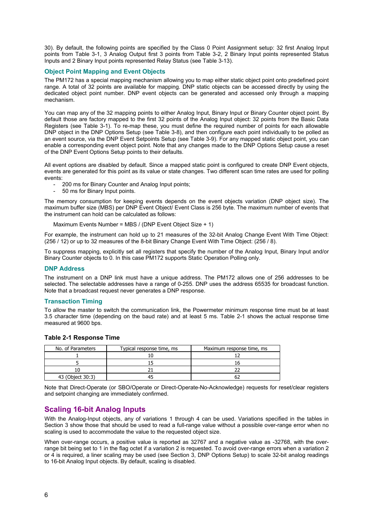30). By default, the following points are specified by the Class 0 Point Assignment setup: 32 first Analog Input points from Table 3-1, 3 Analog Output first 3 points from Table 3-2, 2 Binary Input points represented Status Inputs and 2 Binary Input points represented Relay Status (see Table 3-13).

#### **Object Point Mapping and Event Objects**

The PM172 has a special mapping mechanism allowing you to map either static object point onto predefined point range. A total of 32 points are available for mapping. DNP static objects can be accessed directly by using the dedicated object point number. DNP event objects can be generated and accessed only through a mapping mechanism.

You can map any of the 32 mapping points to either Analog Input, Binary Input or Binary Counter object point. By default those are factory mapped to the first 32 points of the Analog Input object: 32 points from the Basic Data Registers (see Table 3-1). To re-map these, you must define the required number of points for each allowable DNP object in the DNP Options Setup (see Table 3-8), and then configure each point individually to be polled as an event source, via the DNP Event Setpoints Setup (see Table 3-9). For any mapped static object point, you can enable a corresponding event object point. Note that any changes made to the DNP Options Setup cause a reset of the DNP Event Options Setup points to their defaults.

All event options are disabled by default. Since a mapped static point is configured to create DNP Event objects, events are generated for this point as its value or state changes. Two different scan time rates are used for polling events:

- 200 ms for Binary Counter and Analog Input points:
- 50 ms for Binary Input points.

The memory consumption for keeping events depends on the event objects variation (DNP object size). The maximum buffer size (MBS) per DNP Event Object/ Event Class is 256 byte. The maximum number of events that the instrument can hold can be calculated as follows:

Maximum Events Number = MBS / (DNP Event Object Size + 1)

For example, the instrument can hold up to 21 measures of the 32-bit Analog Change Event With Time Object: (256 / 12) or up to 32 measures of the 8-bit Binary Change Event With Time Object: (256 / 8).

To suppress mapping, explicitly set all registers that specify the number of the Analog Input, Binary Input and/or Binary Counter objects to 0. In this case PM172 supports Static Operation Polling only.

#### **DNP Address**

The instrument on a DNP link must have a unique address. The PM172 allows one of 256 addresses to be selected. The selectable addresses have a range of 0-255. DNP uses the address 65535 for broadcast function. Note that a broadcast request never generates a DNP response.

#### **Transaction Timing**

To allow the master to switch the communication link, the Powermeter minimum response time must be at least 3.5 character time (depending on the baud rate) and at least 5 ms. Table 2-1 shows the actual response time measured at 9600 bps.

| Typical response time, ms<br>No. of Parameters |  | Maximum response time, ms |
|------------------------------------------------|--|---------------------------|
|                                                |  |                           |
|                                                |  |                           |
|                                                |  |                           |
| 43 (Object 30:3)                               |  |                           |

#### **Table 2-1 Response Time**

Note that Direct-Operate (or SBO/Operate or Direct-Operate-No-Acknowledge) requests for reset/clear registers and setpoint changing are immediately confirmed.

## <span id="page-5-0"></span>**Scaling 16-bit Analog Inputs**

With the Analog-Input objects, any of variations 1 through 4 can be used. Variations specified in the tables in Section 3 show those that should be used to read a full-range value without a possible over-range error when no scaling is used to accommodate the value to the requested object size.

When over-range occurs, a positive value is reported as 32767 and a negative value as -32768, with the overrange bit being set to 1 in the flag octet if a variation 2 is requested. To avoid over-range errors when a variation 2 or 4 is required, a liner scaling may be used (see Section 3, DNP Options Setup) to scale 32-bit analog readings to 16-bit Analog Input objects. By default, scaling is disabled.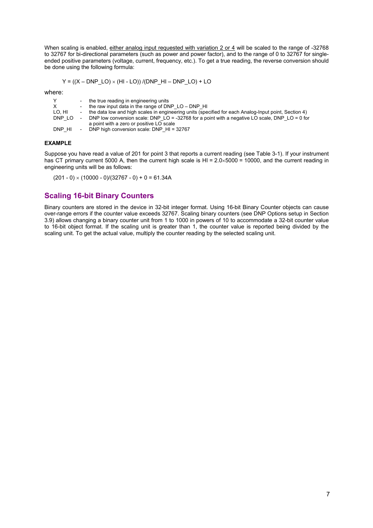When scaling is enabled, either analog input requested with variation 2 or 4 will be scaled to the range of -32768 to 32767 for bi-directional parameters (such as power and power factor), and to the range of 0 to 32767 for singleended positive parameters (voltage, current, frequency, etc.). To get a true reading, the reverse conversion should be done using the following formula:

$$
Y = ((X - DNP\_LO) \times (HI - LO)) / (DNP\_HI - DNP\_LO) + LO
$$

where:

| v      | - the true reading in engineering units                                                                |
|--------|--------------------------------------------------------------------------------------------------------|
| х      | - the raw input data in the range of DNP $LO - DNP$ HI                                                 |
| LO. HI | - the data low and high scales in engineering units (specified for each Analog-Input point, Section 4) |
| DNP LO | DNP low conversion scale: DNP LO = -32768 for a point with a negative LO scale, DNP LO = 0 for         |
|        | a point with a zero or positive LO scale                                                               |
| DNP HI | DNP high conversion scale: DNP $HI = 32767$                                                            |

#### **EXAMPLE**

Suppose you have read a value of 201 for point 3 that reports a current reading (see Table 3-1). If your instrument has CT primary current 5000 A, then the current high scale is HI =  $2.0 \times 5000 = 10000$ , and the current reading in engineering units will be as follows:

 $(201 - 0) \times (10000 - 0)/(32767 - 0) + 0 = 61.34A$ 

### <span id="page-6-0"></span>**Scaling 16-bit Binary Counters**

Binary counters are stored in the device in 32-bit integer format. Using 16-bit Binary Counter objects can cause over-range errors if the counter value exceeds 32767. Scaling binary counters (see DNP Options setup in Section 3.9) allows changing a binary counter unit from 1 to 1000 in powers of 10 to accommodate a 32-bit counter value to 16-bit object format. If the scaling unit is greater than 1, the counter value is reported being divided by the scaling unit. To get the actual value, multiply the counter reading by the selected scaling unit.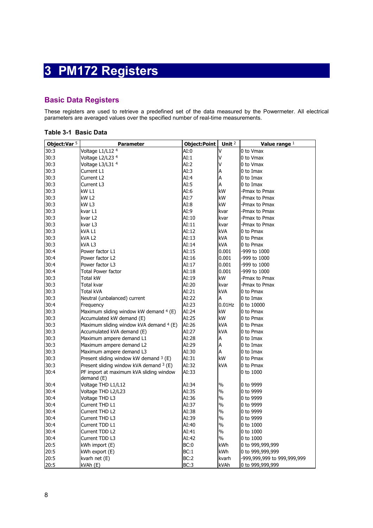## **3 PM172 Registers**

## <span id="page-7-1"></span><span id="page-7-0"></span>**Basic Data Registers**

These registers are used to retrieve a predefined set of the data measured by the Powermeter. All electrical parameters are averaged values over the specified number of real-time measurements.

| Object:Var $5$ | Parameter                                 | <b>Object:Point</b> | Unit $2$        | Value range $1$             |
|----------------|-------------------------------------------|---------------------|-----------------|-----------------------------|
| 30:3           | Voltage L1/L12 4                          | AI:0                | Λ               | 0 to Vmax                   |
| 30:3           | Voltage L2/L23 4                          | AI:1                | V               | 0 to Vmax                   |
| 30:3           | Voltage L3/L31 4                          | AI:2                | ٧               | 0 to Vmax                   |
| 30:3           | Current L1                                | AI:3                | Α               | 0 to Imax                   |
| 30:3           | Current L2                                | AI:4                | А               | 0 to Imax                   |
| 30:3           | Current L3                                | AI:5                | Α               | 0 to Imax                   |
| 30:3           | kW L1                                     | AI:6                | kW              | -Pmax to Pmax               |
| 30:3           | kW <sub>L2</sub>                          | AI:7                | kW              | -Pmax to Pmax               |
| 30:3           | kW L3                                     | AI:8                | kW              | -Pmax to Pmax               |
| 30:3           | kvar L1                                   | AI:9                | kvar            | -Pmax to Pmax               |
| 30:3           | kvar L2                                   | AI:10               | kvar            | -Pmax to Pmax               |
| 30:3           | kvar L3                                   | AI:11               | kvar            | -Pmax to Pmax               |
| 30:3           | kVA L1                                    | AI:12               | kVA             | 0 to Pmax                   |
| 30:3           | kva L2                                    | AI:13               | kVA             | 0 to Pmax                   |
| 30:3           | kVA L3                                    | AI:14               | kVA             | 0 to Pmax                   |
| 30:4           | Power factor L1                           | AI:15               | 0.001           | -999 to 1000                |
| 30:4           | Power factor L2                           | AI:16               | 0.001           | -999 to 1000                |
| 30:4           | Power factor L3                           | AI:17               | 0.001           | -999 to 1000                |
| 30:4           | <b>Total Power factor</b>                 | AI:18               | 0.001           | -999 to 1000                |
| 30:3           | <b>Total kW</b>                           | AI:19               | kW              | -Pmax to Pmax               |
| 30:3           | Total kvar                                | AI:20               | kvar            | -Pmax to Pmax               |
| 30:3           | Total kVA                                 | AI:21               | kVA             | 0 to Pmax                   |
| 30:3           | Neutral (unbalanced) current              | AI:22               | Α               | 0 to Imax                   |
| 30:4           | Frequency                                 | AI:23               | $0.01$ Hz       | 0 to 10000                  |
| 30:3           | Maximum sliding window kW demand 4 (E)    | AI:24               | kW<br>0 to Pmax |                             |
| 30:3           | Accumulated kW demand (E)                 | AI:25               | kW              | 0 to Pmax                   |
| 30:3           | Maximum sliding window kVA demand 4 (E)   | AI:26               | kVA             | 0 to Pmax                   |
| 30:3           | Accumulated kVA demand (E)                | AI:27               | kVA             | 0 to Pmax                   |
| 30:3           | Maximum ampere demand L1                  | AI:28               | А               | 0 to Imax                   |
| 30:3           | Maximum ampere demand L2                  | AI:29               | А               | 0 to Imax                   |
| 30:3           | Maximum ampere demand L3                  | AI:30               | А               | 0 to Imax                   |
| 30:3           | Present sliding window kW demand 3 (E)    | AI:31               | kW              | 0 to Pmax                   |
| 30:3           | Present sliding window kVA demand $3$ (E) | AI:32               | kVA             | 0 to Pmax                   |
| 30:4           | PF import at maximum kVA sliding window   | AI:33               |                 | 0 to 1000                   |
|                | demand (E)                                |                     |                 |                             |
| 30:4           | Voltage THD L1/L12                        | AI:34               | %               | 0 to 9999                   |
| 30:4           | Voltage THD L2/L23                        | AI:35               | $\%$            | 0 to 9999                   |
| 30:4           | Voltage THD L3                            | AI:36               | $\%$            | 0 to 9999                   |
| 30:4           | Current THD L1                            | AI:37               | $\%$            | 0 to 9999                   |
| 30:4           | Current THD L2                            | AI:38               | $\%$            | 0 to 9999                   |
| 30:4           | Current THD L3                            | AI:39               | $\%$            | 0 to 9999                   |
| 30:4           | Current TDD L1                            | AI:40               | $\%$            | 0 to 1000                   |
| 30:4           | Current TDD L2                            | AI:41               | $\%$            | 0 to 1000                   |
| 30:4           | Current TDD L3                            | AI:42               | $\%$            | 0 to 1000                   |
| 20:5           | kWh import (E)                            | BC:0                | kWh             | 0 to 999,999,999            |
| 20:5           | kWh export (E)                            | BC:1                | kWh             | 0 to 999,999,999            |
| 20:5           | kvarh net (E)                             | BC:2                | kvarh           | -999,999,999 to 999,999,999 |
| 20:5           | kVAh (E)                                  | BC:3                | kVAh            | 0 to 999,999,999            |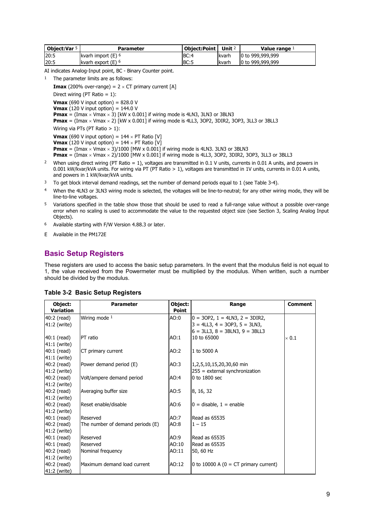| Obiect:Var 5 | Parameter            | Object: Point $\vert$ Unit $2$ |               | Value range $1$  |
|--------------|----------------------|--------------------------------|---------------|------------------|
| 20:5         | kvarh import $(E)$ 6 | BC:4                           | lkvarh        | 0 to 999,999,999 |
| 20:5         | kvarh export (E) 6   | BC:5                           | <b>Ikvarh</b> | 0 to 999,999,999 |

AI indicates Analog-Input point, BC - Binary Counter point.

1 The parameter limits are as follows:

**Imax** (200% over-range) =  $2 \times CT$  primary current [A] Direct wiring (PT Ratio  $= 1$ ): **Vmax** (690 V input option) =  $828.0$  V **Vmax** (120 V input option) = 144.0 V **Pmax** = (Imax  $\times$  Vmax  $\times$  3) [kW x 0.001] if wiring mode is 4LN3, 3LN3 or 3BLN3 **Pmax** = (Imax × Vmax × 2) [kW x 0.001] if wiring mode is 4LL3, 3OP2, 3DIR2, 3OP3, 3LL3 or 3BLL3 Wiring via PTs (PT Ratio > 1): **Vmax** (690 V input option) =  $144 \times PT$  Ratio [V] **Vmax** (120 V input option) =  $144 \times PT$  Ratio [V] **Pmax** =  $(Imax \times Vmax \times 3)/1000$  [MW x 0.001] if wiring mode is 4LN3. 3LN3 or 3BLN3 **Pmax** =  $(Imax \times Vmax \times 2)/1000$  [MW  $\times$  0.001] if wiring mode is 4LL3, 3OP2, 3DIR2, 3OP3, 3LL3 or 3BLL3 <sup>2</sup> When using direct wiring (PT Ratio = 1), voltages are transmitted in 0.1 V units, currents in 0.01 A units, and powers in

- 0.001 kW/kvar/kVA units. For wiring via PT (PT Ratio > 1), voltages are transmitted in 1V units, currents in 0.01 A units, and powers in 1 kW/kvar/kVA units.
- <sup>3</sup> To get block interval demand readings, set the number of demand periods equal to 1 (see Table 3-4).
- 4 When the 4LN3 or 3LN3 wiring mode is selected, the voltages will be line-to-neutral; for any other wiring mode, they will be line-to-line voltages.
- 5 Variations specified in the table show those that should be used to read a full-range value without a possible over-range error when no scaling is used to accommodate the value to the requested object size (see Section 3, Scaling Analog Input Objects).
- 6 Available starting with F/W Version 4.88.3 or later.
- E Available in the PM172E

#### <span id="page-8-0"></span>**Basic Setup Registers**

These registers are used to access the basic setup parameters. In the event that the modulus field is not equal to 1, the value received from the Powermeter must be multiplied by the modulus. When written, such a number should be divided by the modulus.

| Object:      | Object:<br><b>Parameter</b><br>Range |              |                                          | <b>Comment</b> |
|--------------|--------------------------------------|--------------|------------------------------------------|----------------|
| Variation    |                                      | <b>Point</b> |                                          |                |
| 40:2 (read)  | Wiring mode 1                        | AO:0         | $0 = 30P2$ , $1 = 4LN3$ , $2 = 3DIR2$ ,  |                |
| 41:2 (write) |                                      |              | $3 = 4LL3$ , $4 = 30P3$ , $5 = 3LN3$ ,   |                |
|              |                                      |              | $6 = 3LL3$ , $8 = 3BLN3$ , $9 = 3BLL3$   |                |
| 40:1 (read)  | PT ratio                             | AO:1         | 10 to 65000                              | $\times 0.1$   |
| 41:1 (write) |                                      |              |                                          |                |
| 40:1 (read)  | CT primary current                   | AO:2         | 1 to 5000 A                              |                |
| 41:1 (write) |                                      |              |                                          |                |
| 40:2 (read)  | Power demand period (E)              | AO:3         | 1,2,5,10,15,20,30,60 min                 |                |
| 41:2 (write) |                                      |              | $255$ = external synchronization         |                |
| 40:2 (read)  | Volt/ampere demand period            | AO:4         | 0 to 1800 sec                            |                |
| 41:2 (write) |                                      |              |                                          |                |
| 40:2 (read)  | Averaging buffer size                | AO:5         | 8, 16, 32                                |                |
| 41:2 (write) |                                      |              |                                          |                |
| 40:2 (read)  | Reset enable/disable                 | AO:6         | $0 =$ disable, $1 =$ enable              |                |
| 41:2 (write) |                                      |              |                                          |                |
| 40:1 (read)  | Reserved                             | AO:7         | Read as 65535                            |                |
| 40:2 (read)  | The number of demand periods (E)     | AO:8         | $1 - 15$                                 |                |
| 41:2 (write) |                                      |              |                                          |                |
| 40:1 (read)  | Reserved                             | AO:9         | Read as 65535                            |                |
| 40:1 (read)  | Reserved                             | AO:10        | Read as 65535                            |                |
| 40:2 (read)  | Nominal frequency                    | AO:11        | 50, 60 Hz                                |                |
| 41:2 (write) |                                      |              |                                          |                |
| 40:2 (read)  | Maximum demand load current          | AO:12        | 0 to 10000 A ( $0 = CT$ primary current) |                |
| 41:2 (write) |                                      |              |                                          |                |

#### **Table 3-2 Basic Setup Registers**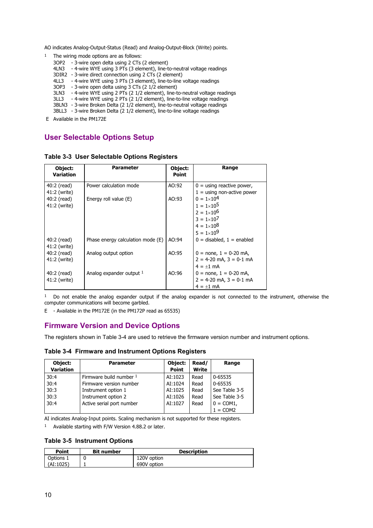AO indicates Analog-Output-Status (Read) and Analog-Output-Block (Write) points.

<sup>1</sup> The wiring mode options are as follows:

- 3OP2 3-wire open delta using 2 CTs (2 element)
- 4LN3 4-wire WYE using 3 PTs (3 element), line-to-neutral voltage readings
- 3DIR2 3-wire direct connection using 2 CTs (2 element)
- 4LL3 4-wire WYE using 3 PTs (3 element), line-to-line voltage readings
- 3OP3 3-wire open delta using 3 CTs (2 1/2 element)
- 3LN3 4-wire WYE using 2 PTs (2 1/2 element), line-to-neutral voltage readings
- 3LL3 4-wire WYE using 2 PTs (2 1/2 element), line-to-line voltage readings
- 3BLN3 3-wire Broken Delta (2 1/2 element), line-to-neutral voltage readings
- 3BLL3 3-wire Broken Delta (2 1/2 element), line-to-line voltage readings
- E Available in the PM172E

## <span id="page-9-0"></span>**User Selectable Options Setup**

**Table 3-3 User Selectable Options Registers** 

| Object:<br><b>Variation</b> | <b>Parameter</b>                  | Object:<br><b>Point</b> | Range                                                                                                                                        |
|-----------------------------|-----------------------------------|-------------------------|----------------------------------------------------------------------------------------------------------------------------------------------|
| 40:2 (read)<br>41:2 (write) | Power calculation mode            | AO:92                   | $0 =$ using reactive power,<br>$1 =$ using non-active power                                                                                  |
| 40:2 (read)<br>41:2 (write) | Energy roll value (E)             | AO:93                   | $0 = 1 \times 10^{4}$<br>$1 = 1 \times 10^5$<br>$2 = 1 \times 10^6$<br>$3 = 1 \times 10^{7}$<br>$4 = 1 \times 10^{8}$<br>$5 = 1 \times 10^9$ |
| 40:2 (read)<br>41:2 (write) | Phase energy calculation mode (E) | AO:94                   | $0 =$ disabled, $1 =$ enabled                                                                                                                |
| 40:2 (read)<br>41:2 (write) | Analog output option              | AO:95                   | $0 =$ none, $1 = 0$ -20 mA,<br>$2 = 4-20$ mA, $3 = 0-1$ mA<br>$4 = +1$ mA                                                                    |
| 40:2 (read)<br>41:2 (write) | Analog expander output 1          | AO:96                   | $0 =$ none, $1 = 0$ -20 mA,<br>$2 = 4-20$ mA, $3 = 0-1$ mA<br>$4 = \pm 1$ mA                                                                 |

1 Do not enable the analog expander output if the analog expander is not connected to the instrument, otherwise the computer communications will become garbled.

E - Available in the PM172E (in the PM172P read as 65535)

## <span id="page-9-1"></span>**Firmware Version and Device Options**

The registers shown in Table 3-4 are used to retrieve the firmware version number and instrument options.

**Table 3-4 Firmware and Instrument Options Registers** 

| Object:<br><b>Variation</b> | <b>Parameter</b>          | Object:<br><b>Point</b> | Read/<br>Write | Range         |
|-----------------------------|---------------------------|-------------------------|----------------|---------------|
| 30:4                        | Firmware build number 1   | AI:1023                 | Read           | 0-65535       |
| 30:4                        | Firmware version number   | AI:1024                 | Read           | 0-65535       |
| 30:3                        | Instrument option 1       | AI:1025                 | Read           | See Table 3-5 |
| 30:3                        | Instrument option 2       | AI:1026                 | Read           | See Table 3-5 |
| 30:4                        | Active serial port number | AI:1027                 | Read           | $0 = COM1$ ,  |
|                             |                           |                         |                | $1 = COM2$    |

AI indicates Analog-Input points. Scaling mechanism is not supported for these registers.

1 Available starting with F/W Version 4.88.2 or later.

**Table 3-5 Instrument Options** 

| Point     | <b>Bit number</b> | <b>Description</b> |
|-----------|-------------------|--------------------|
| Options 1 |                   | 120V option        |
| (AI:1025) |                   | 690V option        |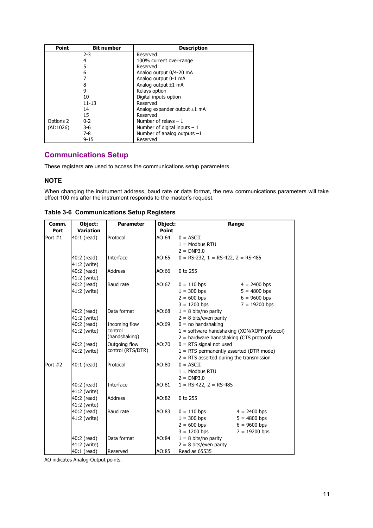| <b>Point</b> | <b>Bit number</b> | <b>Description</b>                |
|--------------|-------------------|-----------------------------------|
|              | $2 - 3$           | Reserved                          |
|              | 4                 | 100% current over-range           |
|              | 5                 | Reserved                          |
|              | 6                 | Analog output 0/4-20 mA           |
|              | 7                 | Analog output 0-1 mA              |
|              | 8                 | Analog output $\pm 1$ mA          |
| 9            |                   | Relays option                     |
|              | 10                | Digital inputs option             |
|              | $11 - 13$         | Reserved                          |
|              | 14                | Analog expander output $\pm 1$ mA |
|              | 15                | Reserved                          |
| Options 2    | $0 - 2$           | Number of relays $-1$             |
| (AI:1026)    | $3-6$             | Number of digital inputs $-1$     |
|              | $7-8$             | Number of analog outputs $-1$     |
|              | $9 - 15$          | Reserved                          |

## <span id="page-10-0"></span>**Communications Setup**

These registers are used to access the communications setup parameters.

#### **NOTE**

When changing the instrument address, baud rate or data format, the new communications parameters will take effect 100 ms after the instrument responds to the master's request.

| Comm.     | Object:          | <b>Parameter</b>  | Object:      | Range                                          |  |  |
|-----------|------------------|-------------------|--------------|------------------------------------------------|--|--|
| Port      | <b>Variation</b> |                   | <b>Point</b> |                                                |  |  |
| Port $#1$ | 40:1 (read)      | Protocol          | AO:64        | $0 = ASCII$                                    |  |  |
|           |                  |                   |              | $1 =$ Modbus RTU                               |  |  |
|           |                  |                   |              | $2 = DNP3.0$                                   |  |  |
|           | 40:2 (read)      | Interface         | AO:65        | $0 = RS-232$ , $1 = RS-422$ , $2 = RS-485$     |  |  |
|           | 41:2 (write)     |                   |              |                                                |  |  |
|           | 40:2 (read)      | <b>Address</b>    | AO:66        | $0$ to 255                                     |  |  |
|           | 41:2 (write)     |                   |              |                                                |  |  |
|           | 40:2 (read)      | <b>Baud</b> rate  | AO:67        | $0 = 110$ bps<br>$4 = 2400$ bps                |  |  |
|           | 41:2 (write)     |                   |              | $1 = 300$ bps<br>$5 = 4800$ bps                |  |  |
|           |                  |                   |              | $2 = 600$ bps<br>$6 = 9600$ bps                |  |  |
|           |                  |                   |              | $3 = 1200$ bps<br>$7 = 19200$ bps              |  |  |
|           | 40:2 (read)      | Data format       | AO:68        | $1 = 8$ bits/no parity                         |  |  |
|           | 41:2 (write)     |                   |              | $2 = 8$ bits/even parity                       |  |  |
|           | 40:2 (read)      | Incoming flow     | AO:69        | $0 = no$ handshaking                           |  |  |
|           | 41:2 (write)     | control           |              | $1 =$ software handshaking (XON/XOFF protocol) |  |  |
|           |                  | (handshaking)     |              | 2 = hardware handshaking (CTS protocol)        |  |  |
|           | 40:2 (read)      | Outgoing flow     | AO:70        | $0 = RTS$ signal not used                      |  |  |
|           | 41:2 (write)     | control (RTS/DTR) |              | $1 =$ RTS permanently asserted (DTR mode)      |  |  |
|           |                  |                   |              | $2 = RTS$ asserted during the transmission     |  |  |
| Port #2   | 40:1 (read)      | Protocol          | AO:80        | $0 = ASCII$                                    |  |  |
|           |                  |                   |              | $1 =$ Modbus RTU                               |  |  |
|           |                  |                   |              | $2 = DNP3.0$                                   |  |  |
|           | 40:2 (read)      | Interface         | AO:81        | $1 = RS-422$ , $2 = RS-485$                    |  |  |
|           | 41:2 (write)     |                   |              |                                                |  |  |
|           | 40:2 (read)      | <b>Address</b>    | AO:82        | 0 to 255                                       |  |  |
|           | 41:2 (write)     |                   |              |                                                |  |  |
|           | 40:2 (read)      | <b>Baud rate</b>  | AO:83        | $0 = 110$ bps<br>$4 = 2400$ bps                |  |  |
|           | 41:2 (write)     |                   |              | $1 = 300$ bps<br>$5 = 4800$ bps                |  |  |
|           |                  |                   |              | $2 = 600$ bps<br>$6 = 9600$ bps                |  |  |
|           |                  |                   |              | $3 = 1200$ bps<br>$7 = 19200$ bps              |  |  |
|           | 40:2 (read)      | Data format       | AO:84        | $1 = 8$ bits/no parity                         |  |  |
|           | 41:2 (write)     |                   |              | $2 = 8$ bits/even parity                       |  |  |
|           | 40:1 (read)      | Reserved          | AO:85        | Read as 65535                                  |  |  |

**Table 3-6 Communications Setup Registers** 

AO indicates Analog-Output points.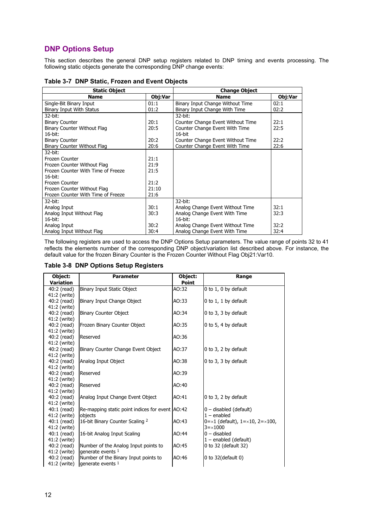## <span id="page-11-0"></span>**DNP Options Setup**

This section describes the general DNP setup registers related to DNP timing and events processing. The following static objects generate the corresponding DNP change events:

| <b>Static Object</b>               |         | <b>Change Object</b>              |         |  |
|------------------------------------|---------|-----------------------------------|---------|--|
| <b>Name</b>                        | Obj:Var | <b>Name</b>                       | Obj:Var |  |
| Single-Bit Binary Input            | 01:1    | Binary Input Change Without Time  | 02:1    |  |
| Binary Input With Status           | 01:2    | Binary Input Change With Time     | 02:2    |  |
| 32-bit:                            |         | 32-bit:                           |         |  |
| <b>Binary Counter</b>              | 20:1    | Counter Change Event Without Time | 22:1    |  |
| Binary Counter Without Flag        | 20:5    | Counter Change Event With Time    | 22:5    |  |
| $16$ -bit:                         |         | $16$ -bit                         |         |  |
| <b>Binary Counter</b>              | 20:2    | Counter Change Event Without Time | 22:2    |  |
| Binary Counter Without Flag        | 20:6    | Counter Change Event With Time    | 22:6    |  |
| 32-bit:                            |         |                                   |         |  |
| Frozen Counter                     | 21:1    |                                   |         |  |
| Frozen Counter Without Flag        | 21:9    |                                   |         |  |
| Frozen Counter With Time of Freeze | 21:5    |                                   |         |  |
| $16$ -bit:                         |         |                                   |         |  |
| Frozen Counter                     | 21:2    |                                   |         |  |
| Frozen Counter Without Flag        | 21:10   |                                   |         |  |
| Frozen Counter With Time of Freeze | 21:6    |                                   |         |  |
| 32-bit:                            |         | 32-bit:                           |         |  |
| Analog Input                       | 30:1    | Analog Change Event Without Time  | 32:1    |  |
| Analog Input Without Flag          | 30:3    | Analog Change Event With Time     | 32:3    |  |
| $16$ -bit:                         |         | 16-bit:                           |         |  |
| Analog Input                       | 30:2    | Analog Change Event Without Time  | 32:2    |  |
| Analog Input Without Flag          | 30:4    | Analog Change Event With Time     | 32:4    |  |

#### **Table 3-7 DNP Static, Frozen and Event Objects**

The following registers are used to access the DNP Options Setup parameters. The value range of points 32 to 41 reflects the elements number of the corresponding DNP object/variation list described above. For instance, the default value for the frozen Binary Counter is the Frozen Counter Without Flag Obj21:Var10.

#### **Table 3-8 DNP Options Setup Registers**

| Object:          | <b>Parameter</b>                                | Object:      | Range                                        |
|------------------|-------------------------------------------------|--------------|----------------------------------------------|
| <b>Variation</b> |                                                 | <b>Point</b> |                                              |
| 40:2 (read)      | Binary Input Static Object                      | AO:32        | 0 to 1, 0 by default                         |
| 41:2 (write)     |                                                 |              |                                              |
| 40:2 (read)      | Binary Input Change Object                      | AO:33        | 0 to 1, 1 by default                         |
| 41:2 (write)     |                                                 |              |                                              |
| 40:2 (read)      | <b>Binary Counter Object</b>                    | AO:34        | 0 to 3, 3 by default                         |
| 41:2 (write)     |                                                 |              |                                              |
| 40:2 (read)      | Frozen Binary Counter Object                    | AO:35        | 0 to 5, 4 by default                         |
| 41:2 (write)     |                                                 |              |                                              |
| 40:2 (read)      | Reserved                                        | AO:36        |                                              |
| 41:2 (write)     |                                                 |              |                                              |
| 40:2 (read)      | Binary Counter Change Event Object              | AO:37        | 0 to 3, 2 by default                         |
| 41:2 (write)     |                                                 |              |                                              |
| 40:2 (read)      | Analog Input Object                             | AO:38        | 0 to 3, 3 by default                         |
| 41:2 (write)     |                                                 |              |                                              |
| 40:2 (read)      | Reserved                                        | AO:39        |                                              |
| 41:2 (write)     |                                                 |              |                                              |
| 40:2 (read)      | Reserved                                        | AO:40        |                                              |
| 41:2 (write)     |                                                 |              |                                              |
| 40:2 (read)      | Analog Input Change Event Object                | AO:41        | 0 to 3, 2 by default                         |
| 41:2 (write)     |                                                 |              |                                              |
| 40:1 (read)      | Re-mapping static point indices for event AO:42 |              | $0$ – disabled (default)                     |
| 41:2 (write)     | objects                                         |              | $1$ – enabled                                |
| 40:1 (read)      | 16-bit Binary Counter Scaling 2                 | AO:43        | $0 = x1$ (default), $1 = x10$ , $2 = x100$ , |
| 41:2 (write)     |                                                 |              | $3 = \times 1000$                            |
| $40:1$ (read)    | 16-bit Analog Input Scaling                     | AO:44        | $0 -$ disabled                               |
| 41:2 (write)     |                                                 |              | $1$ – enabled (default)                      |
| 40:2 (read)      | Number of the Analog Input points to            | AO:45        | 0 to 32 (default 32)                         |
| 41:2 (write)     | generate events 1                               |              |                                              |
| 40:2 (read)      | Number of the Binary Input points to            | AO:46        | 0 to $32$ (default 0)                        |
| 41:2 (write)     | generate events $1$                             |              |                                              |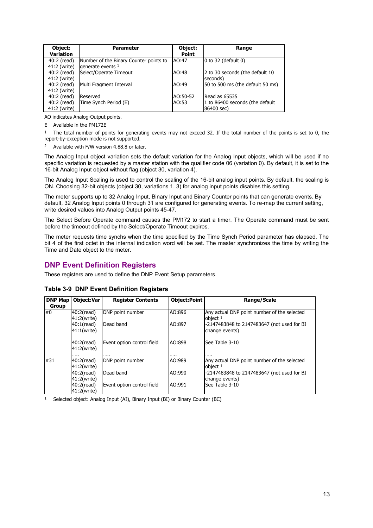| Object:<br><b>Variation</b> | <b>Parameter</b>                       | Object:<br><b>Point</b> | Range                                     |
|-----------------------------|----------------------------------------|-------------------------|-------------------------------------------|
| 40:2 (read)                 | Number of the Binary Counter points to | AO:47                   | $ 0 \text{ to } 32$ (default $ 0 \rangle$ |
| 41:2 (write)                | generate events $1$                    |                         |                                           |
| 40:2 (read)                 | Select/Operate Timeout                 | AO:48                   | 2 to 30 seconds (the default 10           |
| 41:2 (write)                |                                        |                         | seconds)                                  |
| 40:2 (read)                 | Multi Fragment Interval                | AO:49                   | 50 to 500 ms (the default 50 ms)          |
| 41:2 (write)                |                                        |                         |                                           |
| 40:2 (read)                 | Reserved                               | AO:50-52                | Read as 65535                             |
| 40:2 (read)                 | Time Synch Period (E)                  | AO:53                   | 1 to 86400 seconds (the default           |
| 41:2 (write)                |                                        |                         | 86400 sec)                                |

AO indicates Analog-Output points.

E Available in the PM172E

1 The total number of points for generating events may not exceed 32. If the total number of the points is set to 0, the report-by-exception mode is not supported.

2 Available with F/W version 4.88.8 or later.

The Analog Input object variation sets the default variation for the Analog Input objects, which will be used if no specific variation is requested by a master station with the qualifier code 06 (variation 0). By default, it is set to the 16-bit Analog Input object without flag (object 30, variation 4).

The Analog Input Scaling is used to control the scaling of the 16-bit analog input points. By default, the scaling is ON. Choosing 32-bit objects (object 30, variations 1, 3) for analog input points disables this setting.

The meter supports up to 32 Analog Input, Binary Input and Binary Counter points that can generate events. By default, 32 Analog Input points 0 through 31 are configured for generating events. To re-map the current setting, write desired values into Analog Output points 45-47.

The Select Before Operate command causes the PM172 to start a timer. The Operate command must be sent before the timeout defined by the Select/Operate Timeout expires.

The meter requests time synchs when the time specified by the Time Synch Period parameter has elapsed. The bit 4 of the first octet in the internal indication word will be set. The master synchronizes the time by writing the Time and Date object to the meter.

#### <span id="page-12-0"></span>**DNP Event Definition Registers**

These registers are used to define the DNP Event Setup parameters.

| <b>DNP Map</b> | <b>Object:Var</b>            | <b>Register Contents</b>   | <b>Object:Point</b> | Range/Scale                                                  |
|----------------|------------------------------|----------------------------|---------------------|--------------------------------------------------------------|
| Group          |                              |                            |                     |                                                              |
| #0             | 40:2(read)<br>41:2(write)    | DNP point number           | AO:896              | Any actual DNP point number of the selected<br>object $1$    |
|                | $40:1$ (read)<br>41:1(write) | Dead band                  | AO:897              | -2147483848 to 2147483647 (not used for BI<br>change events) |
|                | 40:2(read)<br>41:2(write)    | Event option control field | AO:898              | See Table 3-10                                               |
|                |                              | .                          | .                   | .                                                            |
| #31            | $40:2$ (read)                | DNP point number           | AO:989              | Any actual DNP point number of the selected                  |
|                | 41:2(write)                  |                            |                     | object $1$                                                   |
|                | 40:2(read)                   | Dead band                  | AO:990              | -2147483848 to 2147483647 (not used for BI                   |
|                | 41:2(write)                  |                            |                     | change events)                                               |
|                | 40:2(read)                   | Event option control field | AO:991              | See Table 3-10                                               |
|                | 41:2(write)                  |                            |                     |                                                              |

#### **Table 3-9 DNP Event Definition Registers**

1 Selected object: Analog Input (AI), Binary Input (BI) or Binary Counter (BC)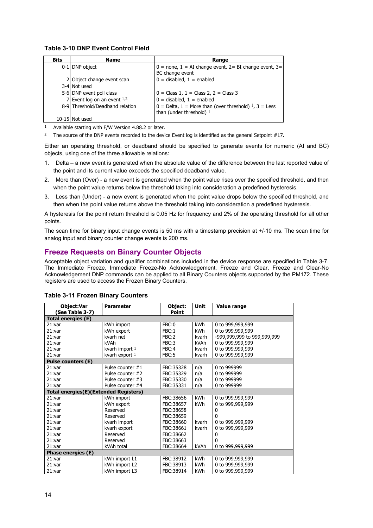#### **Table 3-10 DNP Event Control Field**

| <b>Bits</b> | Name                            | Range                                                                                   |
|-------------|---------------------------------|-----------------------------------------------------------------------------------------|
|             | 0-1 DNP object                  | $0 =$ none, $1 = AI$ change event, $2 = BI$ change event, $3 =$<br>BC change event      |
|             | 2 Object change event scan      | $0 =$ disabled, $1 =$ enabled                                                           |
|             | 3-4 Not used                    |                                                                                         |
|             | 5-6 DNP event poll class        | $0 = Class 1, 1 = Class 2, 2 = Class 3$                                                 |
|             | 7 Event log on an event $1,2$   | $0 =$ disabled, $1 =$ enabled                                                           |
|             | 8-9 Threshold/Deadband relation | $0 =$ Delta, 1 = More than (over threshold) $1, 3 =$ Less<br>than (under threshold) $1$ |
|             | 10-15 Not used                  |                                                                                         |

1 Available starting with F/W Version 4.88.2 or later.

<sup>2</sup> The source of the DNP events recorded to the device Event log is identified as the general Setpoint #17.

Either an operating threshold, or deadband should be specified to generate events for numeric (AI and BC) objects, using one of the three allowable relations:

- 1. Delta a new event is generated when the absolute value of the difference between the last reported value of the point and its current value exceeds the specified deadband value.
- 2. More than (Over) a new event is generated when the point value rises over the specified threshold, and then when the point value returns below the threshold taking into consideration a predefined hysteresis.
- 3. Less than (Under) a new event is generated when the point value drops below the specified threshold, and then when the point value returns above the threshold taking into consideration a predefined hysteresis.

A hysteresis for the point return threshold is 0.05 Hz for frequency and 2% of the operating threshold for all other points.

The scan time for binary input change events is 50 ms with a timestamp precision at +/-10 ms. The scan time for analog input and binary counter change events is 200 ms.

## <span id="page-13-0"></span>**Freeze Requests on Binary Counter Objects**

Acceptable object variation and qualifier combinations included in the device response are specified in Table 3-7. The Immediate Freeze, Immediate Freeze-No Acknowledgement, Freeze and Clear, Freeze and Clear-No Acknowledgement DNP commands can be applied to all Binary Counters objects supported by the PM172. These registers are used to access the Frozen Binary Counters.

| Object:Var<br>(See Table 3-7)         | <b>Parameter</b>   | Object:<br><b>Point</b> | <b>Unit</b> | <b>Value range</b>          |
|---------------------------------------|--------------------|-------------------------|-------------|-----------------------------|
| Total energies (E)                    |                    |                         |             |                             |
| 21:var                                | kWh import         | FBC:0                   | <b>kWh</b>  | 0 to 999,999,999            |
| 21:var                                | kWh export         | FBC:1                   | kWh         | 0 to 999,999,999            |
| 21:var                                | kvarh net          | FBC:2                   | kvarh       | -999,999,999 to 999,999,999 |
| 21:var                                | kVAh               | FBC:3                   | kVAh        | 0 to 999,999,999            |
| 21:var                                | kvarh import 1     | FBC:4                   | kvarh       | 0 to 999,999,999            |
| 21:var                                | kvarh export 1     | FBC:5                   | kvarh       | 0 to 999,999,999            |
| <b>Pulse counters (E)</b>             |                    |                         |             |                             |
| 21:var                                | Pulse counter $#1$ | FBC: 35328              | n/a         | 0 to 999999                 |
| 21:var                                | Pulse counter #2   | FBC:35329               | n/a         | 0 to 999999                 |
| 21:var                                | Pulse counter #3   | FBC:35330               | n/a         | 0 to 999999                 |
| 21:var                                | Pulse counter #4   | FBC:35331               | n/a         | 0 to 999999                 |
| Total energies(E)(Extended Registers) |                    |                         |             |                             |
| 21:var                                | kWh import         | FBC:38656               | <b>kWh</b>  | 0 to 999,999,999            |
| 21:var                                | kWh export         | FBC:38657               | kWh         | 0 to 999,999,999            |
| 21:var                                | Reserved           | FBC:38658               |             | 0                           |
| 21:var                                | Reserved           | FBC:38659               |             | 0                           |
| 21:var                                | kvarh import       | FBC:38660               | kvarh       | 0 to 999,999,999            |
| 21:var                                | kvarh export       | FBC:38661               | kvarh       | 0 to 999,999,999            |
| 21:var                                | Reserved           | FBC:38662               |             | 0                           |
| 21:var                                | Reserved           | FBC:38663               |             | 0                           |
| 21:var                                | kVAh total         | FBC: 38664              | kVAh        | 0 to 999,999,999            |
| Phase energies (E)                    |                    |                         |             |                             |
| 21:var                                | kWh import L1      | FBC:38912               | <b>kWh</b>  | 0 to 999,999,999            |
| 21:var                                | kWh import L2      | FBC:38913               | kWh         | 0 to 999,999,999            |
| 21:var                                | kWh import L3      | FBC:38914               | kWh         | 0 to 999,999,999            |

#### **Table 3-11 Frozen Binary Counters**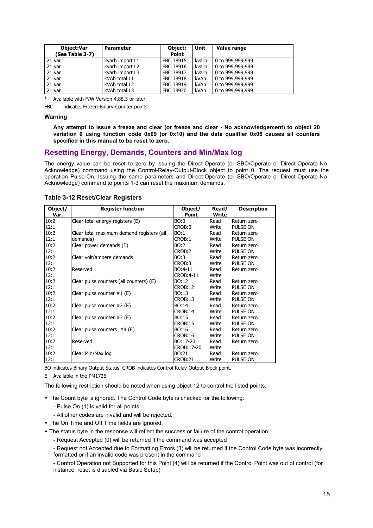| Object:Var<br>(See Table 3-7) | <b>Parameter</b> | Object:<br>Point | Unit  | Value range                  |
|-------------------------------|------------------|------------------|-------|------------------------------|
| 21:var                        | kvarh import L1  | FBC:38915        | kvarh | 0 to 999,999,999             |
| 21:var                        | kvarh import L2  | FBC:38916        | kvarh | 0 to 999,999,999             |
| 21:var                        | kvarh import L3  | FBC:38917        | kvarh | 0 to 999,999,999             |
| 21:var                        | kVAh total L1    | FBC:38918        | kVAh  | $ 0 \text{ to } 999,999,999$ |
| 21:var                        | kVAh total L2    | FBC:38919        | kVAh  | 0 to 999,999,999             |
| 21:var                        | kVAh total L3    | FBC:38920        | kVAh  | 0 to 999,999,999             |

1 Available with F/W Version 4.88.3 or later.

FBC indicates Frozen-Binary-Counter points.

#### **Warning**

**Any attempt to issue a freeze and clear (or freeze and clear - No acknowledgement) to object 20 variation 0 using function code 0x09 (or 0x10) and the data qualifier 0x06 causes all counters specified in this manual to be reset to zero.** 

### <span id="page-14-0"></span>**Resetting Energy, Demands, Counters and Min/Max log**

The energy value can be reset to zero by issuing the Direct-Operate (or SBO/Operate or Direct-Operate-No-Acknowledge) command using the Control-Relay-Output-Block object to point 0. The request must use the operation Pulse-On. Issuing the same parameters and Direct-Operate (or SBO/Operate or Direct-Operate-No-Acknowledge) command to points 1-3 can reset the maximum demands.

| Object/ | <b>Register function</b>                  | Object/        | Read/ | <b>Description</b> |
|---------|-------------------------------------------|----------------|-------|--------------------|
| Var.    |                                           | Point          | Write |                    |
| 10:2    | Clear total energy registers (E)          | BO:0           | Read  | Return zero        |
| 12:1    |                                           | CROB:0         | Write | PULSE ON           |
| 10:2    | Clear total maximum demand registers (all | BO:1           | Read  | Return zero        |
| 12:1    | demands)                                  | CROB:1         | Write | PULSE ON           |
| 10:2    | Clear power demands (E)                   | BO:2           | Read  | Return zero        |
| 12:1    |                                           | CROB:2         | Write | PULSE ON           |
| 10:2    | Clear volt/ampere demands                 | BO:3           | Read  | Return zero        |
| 12:1    |                                           | CROB:3         | Write | PULSE ON           |
| 10:2    | Reserved                                  | BO:4-11        | Read  | Return zero        |
| 12:1    |                                           | CROB:4-11      | Write |                    |
| 10:2    | Clear pulse counters (all counters) (E)   | BO:12          | Read  | Return zero        |
| 12:1    |                                           | <b>CROB:12</b> | Write | PULSE ON           |
| 10:2    | Clear pulse counter $#1$ (E)              | BO:13          | Read  | Return zero        |
| 12:1    |                                           | CROB:13        | Write | PULSE ON           |
| 10:2    | Clear pulse counter $#2$ (E)              | BO:14          | Read  | Return zero        |
| 12:1    |                                           | <b>CROB:14</b> | Write | PULSE ON           |
| 10:2    | Clear pulse counter $#3$ (E)              | BO:15          | Read  | Return zero        |
| 12:1    |                                           | CROB:15        | Write | PULSE ON           |
| 10:2    | Clear pulse counters $#4$ (E)             | BO:16          | Read  | Return zero        |
| 12:1    |                                           | CROB:16        | Write | PULSE ON           |
| 10:2    | Reserved                                  | BO:17-20       | Read  | Return zero        |
| 12:1    |                                           | CROB: 17-20    | Write |                    |
| 10:2    | Clear Min/Max log                         | BO:21          | Read  | Return zero        |
| 12:1    |                                           | CROB:21        | Write | PULSE ON           |

#### **Table 3-12 Reset/Clear Registers**

BO indicates Binary Output Status. CROB indicates Control-Relay-Output-Block point.

E Available in the PM172E

The following restriction should be noted when using object 12 to control the listed points.

- The Count byte is ignored. The Control Code byte is checked for the following:
	- Pulse On (1) is valid for all points
	- All other codes are invalid and will be rejected.
- The On Time and Off Time fields are ignored.
- The status byte in the response will reflect the success or failure of the control operation:
	- Request Accepted (0) will be returned if the command was accepted
	- Request not Accepted due to Formatting Errors (3) will be returned if the Control Code byte was incorrectly formatted or if an invalid code was present in the command

- Control Operation not Supported for this Point (4) will be returned if the Control Point was out of control (for instance, reset is disabled via Basic Setup)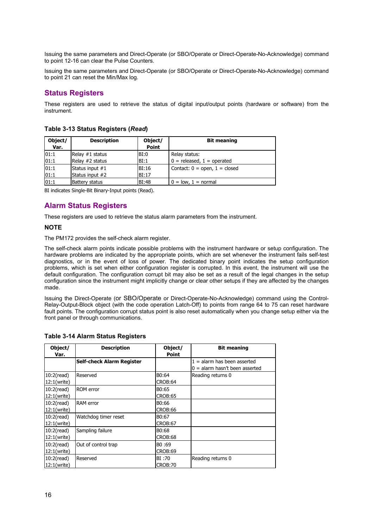Issuing the same parameters and Direct-Operate (or SBO/Operate or Direct-Operate-No-Acknowledge) command to point 12-16 can clear the Pulse Counters.

Issuing the same parameters and Direct-Operate (or SBO/Operate or Direct-Operate-No-Acknowledge) command to point 21 can reset the Min/Max log.

## <span id="page-15-0"></span>**Status Registers**

These registers are used to retrieve the status of digital input/output points (hardware or software) from the instrument.

| Object/<br>Var. | <b>Description</b>    | Object/<br><b>Point</b> | <b>Bit meaning</b>                |
|-----------------|-----------------------|-------------------------|-----------------------------------|
| 101:1           | Relay #1 status       | BI:0                    | Relay status:                     |
| 01:1            | Relay #2 status       | BI:1                    | $0 =$ released, $1 =$ operated    |
| 01:1            | Status input #1       | BI:16                   | Contact: $0 =$ open, $1 =$ closed |
| 01:1            | Status input #2       | BI:17                   |                                   |
| 01:1            | <b>Battery status</b> | <b>BI:48</b>            | $0 = low, 1 = normal$             |

**Table 3-13 Status Registers (***Read***)**

BI indicates Single-Bit Binary-Input points (Read).

## <span id="page-15-1"></span>**Alarm Status Registers**

These registers are used to retrieve the status alarm parameters from the instrument.

#### **NOTE**

The PM172 provides the self-check alarm register.

The self-check alarm points indicate possible problems with the instrument hardware or setup configuration. The hardware problems are indicated by the appropriate points, which are set whenever the instrument fails self-test diagnostics, or in the event of loss of power. The dedicated binary point indicates the setup configuration problems, which is set when either configuration register is corrupted. In this event, the instrument will use the default configuration. The configuration corrupt bit may also be set as a result of the legal changes in the setup configuration since the instrument might implicitly change or clear other setups if they are affected by the changes made.

Issuing the Direct-Operate (or SBO/Operate or Direct-Operate-No-Acknowledge) command using the Control-Relay-Output-Block object (with the code operation Latch-Off) to points from range 64 to 75 can reset hardware fault points. The configuration corrupt status point is also reset automatically when you change setup either via the front panel or through communications.

| Object/<br>Var.              | <b>Description</b>        | Object/<br>Point | <b>Bit meaning</b>                                              |
|------------------------------|---------------------------|------------------|-----------------------------------------------------------------|
|                              | Self-check Alarm Register |                  | $=$ alarm has been asserted<br>$0 =$ alarm hasn't been asserted |
| $10:2$ (read)<br>12:1(write) | Reserved                  | B0:64<br>CROB:64 | Reading returns 0                                               |
| $10:2$ (read)<br>12:1(write) | <b>ROM</b> error          | B0:65<br>CROB:65 |                                                                 |
| $10:2$ (read)<br>12:1(write) | <b>RAM</b> error          | B0:66<br>CROB:66 |                                                                 |
| $10:2$ (read)<br>12:1(write) | Watchdog timer reset      | B0:67<br>CROB:67 |                                                                 |
| $10:2$ (read)<br>12:1(write) | Sampling failure          | B0:68<br>CROB:68 |                                                                 |
| $10:2$ (read)<br>12:1(write) | Out of control trap       | B0:69<br>CROB:69 |                                                                 |
| $10:2$ (read)<br>12:1(write) | Reserved                  | BI:70<br>CROB:70 | Reading returns 0                                               |

#### **Table 3-14 Alarm Status Registers**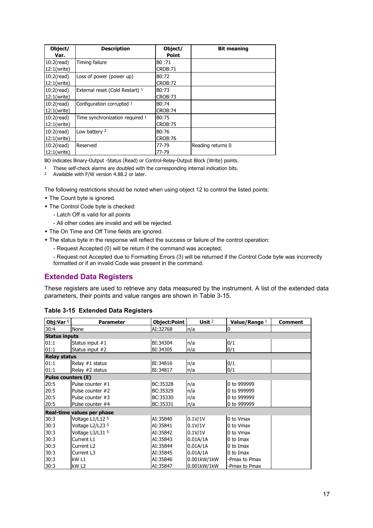| Object/       | <b>Description</b>              | Object/      | <b>Bit meaning</b> |
|---------------|---------------------------------|--------------|--------------------|
| Var.          |                                 | <b>Point</b> |                    |
| $10:2$ (read) | Timing failure                  | B0:71        |                    |
| 12:1(write)   |                                 | CROB:71      |                    |
| $10:2$ (read) | Loss of power (power up)        | B0:72        |                    |
| 12:1(write)   |                                 | CROB:72      |                    |
| $10:2$ (read) | External reset (Cold Restart) 1 | B0:73        |                    |
| 12:1(write)   |                                 | CROB:73      |                    |
| $10:2$ (read) | Configuration corrupted 1       | B0:74        |                    |
| 12:1(write)   |                                 | CROB:74      |                    |
| $10:2$ (read) | Time synchronization required 1 | B0:75        |                    |
| 12:1(write)   |                                 | CROB:75      |                    |
| $10:2$ (read) | Low battery 2                   | B0:76        |                    |
| 12:1(write)   |                                 | CROB:76      |                    |
| $10:2$ (read) | Reserved                        | 77-79        | Reading returns 0  |
| 12:1(write)   |                                 | 77-79        |                    |

BO indicates Binary-Output -Status (Read) or Control-Relay-Output Block (Write) points.

- <sup>1</sup> These self-check alarms are doubled with the corresponding internal indication bits.<br><sup>2</sup> Available with  $E/M$  version 4.88.2 or later
- 2 Available with F/W version 4.88.2 or later.

The following restrictions should be noted when using object 12 to control the listed points:

- The Count byte is ignored.
- The Control Code byte is checked:
	- Latch Off is valid for all points
	- All other codes are invalid and will be rejected.
- The On Time and Off Time fields are ignored.
- The status byte in the response will reflect the success or failure of the control operation:
	- Request Accepted (0) will be return if the command was accepted;
	- Request not Accepted due to Formatting Errors (3) will be returned if the Control Code byte was incorrectly formatted or if an invalid Code was present in the command.

## <span id="page-16-0"></span>**Extended Data Registers**

These registers are used to retrieve any data measured by the instrument. A list of the extended data parameters, their points and value ranges are shown in Table 3-15.

| Obj:Var 6                 | <b>Parameter</b>           | Object:Point | Unit $2$    | Value/Range 1 | <b>Comment</b> |
|---------------------------|----------------------------|--------------|-------------|---------------|----------------|
| 30:4                      | None                       | AI:32768     | n/a         | 0             |                |
| <b>Status inputs</b>      |                            |              |             |               |                |
| 01:1                      | Status input #1            | BI:34304     | n/a         | 0/1           |                |
| 01:1                      | Status input #2            | BI:34305     | n/a         | 0/1           |                |
| <b>Relay status</b>       |                            |              |             |               |                |
| 01:1                      | Relay #1 status            | BI:34816     | n/a         | 0/1           |                |
| 01:1                      | Relay #2 status            | BI:34817     | n/a         | 0/1           |                |
| <b>Pulse counters (E)</b> |                            |              |             |               |                |
| 20:5                      | Pulse counter #1           | BC:35328     | n/a         | 0 to 999999   |                |
| 20:5                      | Pulse counter #2           | BC:35329     | n/a         | 0 to 999999   |                |
| 20:5                      | Pulse counter #3           | BC:35330     | n/a         | 0 to 999999   |                |
| 20:5                      | Pulse counter #4           | BC:35331     | n/a         | 0 to 999999   |                |
|                           | Real-time values per phase |              |             |               |                |
| 30:3                      | Voltage L1/L12 5           | AI:35840     | 0.1V/1V     | 0 to Vmax     |                |
| 30:3                      | Voltage L2/L23 5           | AI:35841     | 0.1V/1V     | 0 to Vmax     |                |
| 30:3                      | Voltage L3/L31 5           | AI:35842     | 0.1V/1V     | 0 to Vmax     |                |
| 30:3                      | Current L1                 | AI:35843     | 0.01A/1A    | 0 to Imax     |                |
| 30:3                      | Current L <sub>2</sub>     | AI:35844     | 0.01A/1A    | 0 to Imax     |                |
| 30:3                      | Current L3                 | AI:35845     | 0.01A/1A    | 0 to Imax     |                |
| 30:3                      | kW L1                      | AI:35846     | 0.001kW/1kW | -Pmax to Pmax |                |
| 30:3                      | kW L2                      | AI:35847     | 0.001kW/1kW | -Pmax to Pmax |                |

#### **Table 3-15 Extended Data Registers**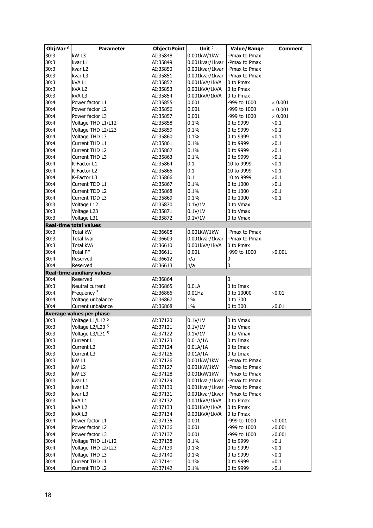| Obj:Var 6 | <b>Parameter</b>                  | <b>Object:Point</b> | Unit $2$        | Value/Range 1 | <b>Comment</b> |
|-----------|-----------------------------------|---------------------|-----------------|---------------|----------------|
| 30:3      | kW <sub>L3</sub>                  | AI:35848            | 0.001kW/1kW     | -Pmax to Pmax |                |
| 30:3      | kvar L1                           | AI:35849            | 0.001kvar/1kvar | -Pmax to Pmax |                |
| 30:3      | kvar L2                           | AI:35850            | 0.001kvar/1kvar | -Pmax to Pmax |                |
| 30:3      | kvar L3                           | AI:35851            | 0.001kvar/1kvar | -Pmax to Pmax |                |
| 30:3      | kVA L1                            | AI:35852            | 0.001kVA/1kVA   | 0 to Pmax     |                |
| 30:3      | kVA L2                            | AI:35853            | 0.001kVA/1kVA   | 0 to Pmax     |                |
| 30:3      | kVA <sub>L3</sub>                 | AI:35854            | 0.001kVA/1kVA   | 0 to Pmax     |                |
| 30:4      | Power factor L1                   | AI:35855            | 0.001           | -999 to 1000  | $\times$ 0.001 |
| 30:4      | Power factor L2                   | AI:35856            | 0.001           | -999 to 1000  | $\times$ 0.001 |
| 30:4      | Power factor L3                   | AI:35857            | 0.001           | -999 to 1000  | $\times$ 0.001 |
| 30:4      | Voltage THD L1/L12                | AI:35858            | 0.1%            | 0 to 9999     | $\times 0.1$   |
| 30:4      | Voltage THD L2/L23                | AI:35859            | 0.1%            | 0 to 9999     | $\times 0.1$   |
| 30:4      | Voltage THD L3                    | AI:35860            | 0.1%            | 0 to 9999     | $\times 0.1$   |
| 30:4      | Current THD L1                    | AI:35861            | 0.1%            | 0 to 9999     | $\times 0.1$   |
| 30:4      | Current THD L2                    | AI:35862            | 0.1%            | 0 to 9999     | $\times 0.1$   |
| 30:4      | Current THD L3                    | AI:35863            | 0.1%            | 0 to 9999     | $\times 0.1$   |
| 30:4      | K-Factor L1                       | AI:35864            | 0.1             | 10 to 9999    | $\times 0.1$   |
| 30:4      | K-Factor L2                       | AI:35865            | 0.1             | 10 to 9999    | $\times 0.1$   |
| 30:4      | K-Factor L3                       | AI:35866            | 0.1             | 10 to 9999    | $\times 0.1$   |
| 30:4      | Current TDD L1                    | AI:35867            | 0.1%            | 0 to 1000     | $\times 0.1$   |
| 30:4      | Current TDD L2                    | AI:35868            | 0.1%            | 0 to 1000     | $\times 0.1$   |
| 30:4      | Current TDD L3                    |                     | 0.1%            | 0 to 1000     | $\times 0.1$   |
|           |                                   | AI:35869            |                 | 0 to Vmax     |                |
| 30:3      | Voltage L12                       | AI:35870            | 0.1V/1V         |               |                |
| 30:3      | Voltage L23                       | AI:35871            | 0.1V/1V         | 0 to Vmax     |                |
| 30:3      | Voltage L31                       | AI:35872            | 0.1V/1V         | 0 to Vmax     |                |
|           | <b>Real-time total values</b>     |                     |                 |               |                |
| 30:3      | <b>Total kW</b>                   | AI:36608            | 0.001kW/1kW     | -Pmax to Pmax |                |
| 30:3      | Total kvar                        | AI:36609            | 0.001kvar/1kvar | -Pmax to Pmax |                |
| 30:3      | <b>Total kVA</b>                  | AI:36610            | 0.001kVA/1kVA   | 0 to Pmax     |                |
| 30:4      | <b>Total PF</b>                   | AI:36611            | 0.001           | -999 to 1000  | $\times 0.001$ |
| 30:4      | Reserved                          | AI:36612            | n/a             | 0             |                |
| 30:4      | Reserved                          | AI:36613            | n/a             | 0             |                |
|           | <b>Real-time auxiliary values</b> |                     |                 |               |                |
| 30:4      | Reserved                          | AI:36864            |                 | $\bf{0}$      |                |
| 30:3      | Neutral current                   | AI:36865            | 0.01A           | 0 to Imax     |                |
| 30:4      | Frequency 3                       | AI:36866            | $0.01$ Hz       | 0 to 10000    | $\times 0.01$  |
| 30:4      | Voltage unbalance                 | AI:36867            | $1\%$           | 0 to 300      |                |
| 30:4      | Current unbalance                 | AI:36868            | $1\%$           | 0 to 300      | $\times 0.01$  |
|           | Average values per phase          |                     |                 |               |                |
| 30:3      | Voltage L1/L12 5                  | AI:37120            | 0.1V/1V         | 0 to Vmax     |                |
| 30:3      | Voltage L2/L23 5                  | AI:37121            | 0.1V/1V         | 0 to Vmax     |                |
| 30:3      | Voltage L3/L31 5                  | AI:37122            | 0.1V/1V         | 0 to Vmax     |                |
| 30:3      | Current L1                        | AI:37123            | 0.01A/1A        | 0 to Imax     |                |
| 30:3      | Current L2                        | AI:37124            | 0.01A/1A        | 0 to Imax     |                |
| 30:3      | Current L3                        | AI:37125            | 0.01A/1A        | 0 to Imax     |                |
| 30:3      | kW L1                             | AI:37126            | 0.001kW/1kW     | -Pmax to Pmax |                |
| 30:3      | kW <sub>L2</sub>                  | AI:37127            | 0.001kW/1kW     | -Pmax to Pmax |                |
| 30:3      | kW L3                             | AI:37128            | 0.001kW/1kW     | -Pmax to Pmax |                |
| 30:3      | kvar L1                           | AI:37129            | 0.001kvar/1kvar | Pmax to Pmax  |                |
| 30:3      | kvar L2                           | AI:37130            | 0.001kvar/1kvar | -Pmax to Pmax |                |
| 30:3      | kvar L3                           | AI:37131            | 0.001kvar/1kvar | -Pmax to Pmax |                |
| 30:3      | kVA L1                            | AI:37132            | 0.001kVA/1kVA   | 0 to Pmax     |                |
| 30:3      | kVA L2                            | AI:37133            | 0.001kVA/1kVA   | 0 to Pmax     |                |
| 30:3      | kVA L3                            | AI:37134            | 0.001kVA/1kVA   | 0 to Pmax     |                |
| 30:4      | Power factor L1                   | AI:37135            | 0.001           | -999 to 1000  | $\times 0.001$ |
| 30:4      | Power factor L2                   | AI:37136            | 0.001           | -999 to 1000  | $\times 0.001$ |
| 30:4      | Power factor L3                   | AI:37137            | 0.001           | -999 to 1000  | $\times 0.001$ |
| 30:4      | Voltage THD L1/L12                | AI:37138            | 0.1%            | 0 to 9999     | $\times 0.1$   |
| 30:4      | Voltage THD L2/L23                | AI:37139            | 0.1%            | 0 to 9999     | $\times 0.1$   |
| 30:4      | Voltage THD L3                    | AI:37140            | 0.1%            | 0 to 9999     | $\times 0.1$   |
| 30:4      | Current THD L1                    | AI:37141            | 0.1%            | 0 to 9999     | $\times 0.1$   |
| 30:4      | Current THD L2                    | AI:37142            | 0.1%            | 0 to 9999     | $\times 0.1$   |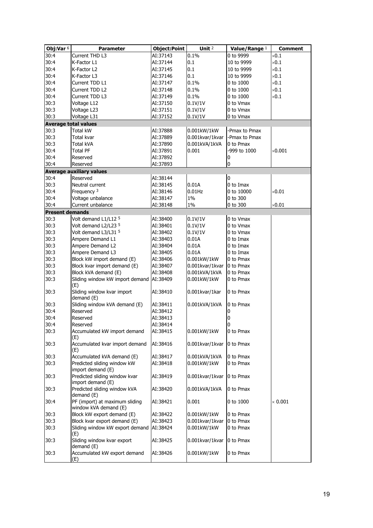| Obj:Var $6$            | <b>Parameter</b>                                        | <b>Object:Point</b> | Unit <sup>2</sup> | Value/Range 1  | <b>Comment</b> |
|------------------------|---------------------------------------------------------|---------------------|-------------------|----------------|----------------|
| 30:4                   | Current THD L3                                          | AI:37143            | 0.1%              | 0 to 9999      | $\times 0.1$   |
| 30:4                   | K-Factor L1                                             | AI:37144            | 0.1               | 10 to 9999     | $\times 0.1$   |
| 30:4                   | K-Factor L2                                             | AI:37145            | 0.1               | 10 to 9999     | $\times 0.1$   |
| 30:4                   | K-Factor L3                                             | AI:37146            | 0.1               | 10 to 9999     | $\times 0.1$   |
| 30:4                   | Current TDD L1                                          | AI:37147            | 0.1%              | 0 to 1000      | $\times 0.1$   |
| 30:4                   | Current TDD L2                                          | AI:37148            | 0.1%              | 0 to 1000      | $\times 0.1$   |
| 30:4                   | Current TDD L3                                          | AI:37149            | 0.1%              | 0 to 1000      | $\times 0.1$   |
| 30:3                   | Voltage L12                                             | AI:37150            | 0.1V/1V           | 0 to Vmax      |                |
| 30:3                   | Voltage L23                                             | AI:37151            | 0.1V/1V           | 0 to Vmax      |                |
| 30:3                   | Voltage L31                                             | AI:37152            | 0.1V/1V           | 0 to Vmax      |                |
|                        | <b>Average total values</b>                             |                     |                   |                |                |
| 30:3                   | <b>Total kW</b>                                         | AI:37888            | 0.001kW/1kW       | -Pmax to Pmax  |                |
| 30:3                   | Total kvar                                              | AI:37889            | 0.001kvar/1kvar   | -Pmax to Pmax  |                |
| 30:3                   | <b>Total kVA</b>                                        | AI:37890            | 0.001kVA/1kVA     | 0 to Pmax      |                |
| 30:4                   | <b>Total PF</b>                                         | AI:37891            | 0.001             | -999 to 1000   | $\times 0.001$ |
| 30:4                   | Reserved                                                | AI:37892            |                   | 0              |                |
| 30:4                   | Reserved                                                | AI:37893            |                   | $\overline{0}$ |                |
|                        | <b>Average auxiliary values</b>                         |                     |                   |                |                |
| 30:4                   | Reserved                                                | AI:38144            |                   | $\overline{0}$ |                |
| 30:3                   | Neutral current                                         | AI:38145            | 0.01A             | 0 to Imax      |                |
| 30:4                   | Frequency 3                                             | AI:38146            | $0.01$ Hz         | 0 to 10000     | $\times 0.01$  |
| 30:4                   | Voltage unbalance                                       | AI:38147            | 1%                | 0 to 300       |                |
| 30:4                   | Current unbalance                                       | AI:38148            | 1%                | 0 to 300       | $\times 0.01$  |
| <b>Present demands</b> |                                                         |                     |                   |                |                |
| 30:3                   | Volt demand L1/L12 5                                    | AI:38400            | 0.1V/1V           | 0 to Vmax      |                |
| 30:3                   | Volt demand L2/L23 5                                    | AI:38401            | 0.1V/1V           | 0 to Vmax      |                |
| 30:3                   | Volt demand L3/L31 5                                    | AI:38402            | 0.1V/1V           | 0 to Vmax      |                |
| 30:3                   | Ampere Demand L1                                        | AI:38403            | 0.01A             | 0 to Imax      |                |
| 30:3                   | Ampere Demand L2                                        | AI:38404            | 0.01A             | 0 to Imax      |                |
| 30:3                   | Ampere Demand L3                                        | AI:38405            | 0.01A             | 0 to Imax      |                |
| 30:3                   | Block kW import demand (E)                              | AI:38406            | 0.001kW/1kW       | 0 to Pmax      |                |
| 30:3                   | Block kvar import demand (E)                            | AI:38407            | 0.001kvar/1kvar   | 0 to Pmax      |                |
| 30:3                   | Block kVA demand (E)                                    | AI:38408            | 0.001kVA/1kVA     | 0 to Pmax      |                |
| 30:3                   | Sliding window kW import demand                         | AI:38409            | 0.001kW/1kW       | 0 to Pmax      |                |
|                        | (E)                                                     |                     |                   |                |                |
| 30:3                   | Sliding window kvar import<br>demand (E)                | AI:38410            | 0.001kvar/1kar    | 0 to Pmax      |                |
| 30:3                   | Sliding window kVA demand (E)                           | AI:38411            | 0.001kVA/1kVA     | 0 to Pmax      |                |
| 30:4                   | Reserved                                                | AI:38412            |                   | 0              |                |
| 30:4                   | Reserved                                                | AI:38413            |                   | $\bf{0}$       |                |
| 30:4                   | Reserved                                                | AI:38414            |                   | $\mathbf 0$    |                |
| 30:3                   | Accumulated kW import demand<br>(E)                     | AI:38415            | 0.001kW/1kW       | 0 to Pmax      |                |
| 30:3                   | Accumulated kvar import demand<br>(E)                   | AI:38416            | 0.001kvar/1kvar   | 0 to Pmax      |                |
| 30:3                   | Accumulated kVA demand (E)                              | AI:38417            | 0.001kVA/1kVA     | 0 to Pmax      |                |
| 30:3                   | Predicted sliding window kW<br>import demand (E)        | AI:38418            | 0.001kW/1kW       | 0 to Pmax      |                |
| 30:3                   | Predicted sliding window kvar<br>import demand (E)      | AI:38419            | 0.001kvar/1kvar   | 0 to Pmax      |                |
| 30:3                   | Predicted sliding window kVA<br>demand (E)              | AI:38420            | 0.001kVA/1kVA     | 0 to Pmax      |                |
| 30:4                   | PF (import) at maximum sliding<br>window kVA demand (E) | AI:38421            | 0.001             | 0 to 1000      | $\times$ 0.001 |
| 30:3                   | Block kW export demand (E)                              | AI:38422            | 0.001kW/1kW       | 0 to Pmax      |                |
| 30:3                   | Block kvar export demand (E)                            | AI:38423            | 0.001kvar/1kvar   | 0 to Pmax      |                |
| 30:3                   | Sliding window kW export demand   AI:38424              |                     | 0.001kW/1kW       | 0 to Pmax      |                |
|                        | (E)                                                     |                     |                   |                |                |
| 30:3                   | Sliding window kvar export<br>demand (E)                | AI:38425            | 0.001kvar/1kvar   | 0 to Pmax      |                |
| 30:3                   | Accumulated kW export demand<br>(E)                     | AI:38426            | 0.001kW/1kW       | 0 to Pmax      |                |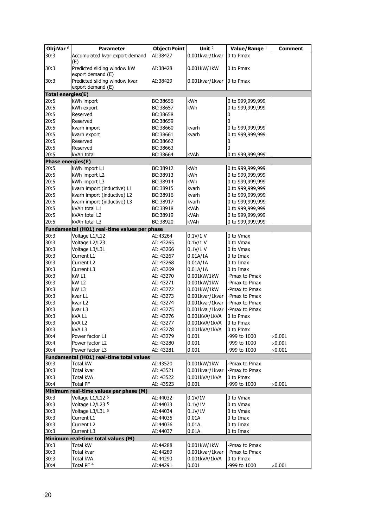| Obj:Var $6$              | Parameter                                                               | <b>Object:Point</b> | Unit <sup>2</sup> | Value/Range 1    | Comment        |
|--------------------------|-------------------------------------------------------------------------|---------------------|-------------------|------------------|----------------|
| 30:3                     | Accumulated kvar export demand                                          | AI:38427            | 0.001kvar/1kvar   | 0 to Pmax        |                |
| 30:3                     | (E)<br>Predicted sliding window kW                                      | AI:38428            | 0.001kW/1kW       | 0 to Pmax        |                |
| 30:3                     | export demand (E)<br>Predicted sliding window kvar<br>export demand (E) | AI:38429            | 0.001kvar/1kvar   | 0 to Pmax        |                |
| <b>Total energies(E)</b> |                                                                         |                     |                   |                  |                |
| 20:5                     | kWh import                                                              | BC:38656            | kWh               | 0 to 999,999,999 |                |
| 20:5                     | kWh export                                                              | BC:38657            | kWh               | 0 to 999,999,999 |                |
| 20:5                     | Reserved                                                                | BC:38658            |                   | 0                |                |
| 20:5                     | Reserved                                                                | BC:38659            |                   | 0                |                |
| 20:5                     | kvarh import                                                            | BC:38660            | kvarh             | 0 to 999,999,999 |                |
| 20:5                     | kvarh export                                                            | BC:38661            | kvarh             | 0 to 999,999,999 |                |
| 20:5                     | Reserved                                                                | BC:38662            |                   | 0                |                |
| 20:5                     | Reserved                                                                | BC:38663            |                   | 0                |                |
| 20:5                     | kVAh total                                                              | BC:38664            | kVAh              | 0 to 999,999,999 |                |
| <b>Phase energies(E)</b> |                                                                         |                     |                   |                  |                |
| 20:5                     | kWh import L1                                                           | BC:38912            | kWh               | 0 to 999,999,999 |                |
| 20:5                     | kWh import L2                                                           | BC:38913            | kWh               | 0 to 999,999,999 |                |
| 20:5                     | kWh import L3                                                           | BC:38914            | kWh               | 0 to 999,999,999 |                |
| 20:5                     | kvarh import (inductive) L1                                             | BC:38915            | kvarh             | 0 to 999,999,999 |                |
| 20:5                     | kvarh import (inductive) L2                                             | BC:38916            | kvarh             | 0 to 999,999,999 |                |
| 20:5                     | kvarh import (inductive) L3                                             | BC:38917            | kvarh             | 0 to 999,999,999 |                |
| 20:5                     | kVAh total L1                                                           | BC:38918            | kVAh              | 0 to 999,999,999 |                |
| 20:5                     | kVAh total L2                                                           | BC:38919            | kVAh              | 0 to 999,999,999 |                |
| 20:5                     | kVAh total L3                                                           | BC:38920            | kVAh              | 0 to 999,999,999 |                |
|                          | Fundamental (H01) real-time values per phase                            |                     |                   |                  |                |
| 30:3                     | Voltage L1/L12                                                          | AI:43264            | 0.1V/1 V          | 0 to Vmax        |                |
| 30:3                     | Voltage L2/L23                                                          | AI: 43265           | 0.1V/1 V          | 0 to Vmax        |                |
| 30:3                     | Voltage L3/L31                                                          | AI: 43266           | $0.1V/1$ V        | 0 to Vmax        |                |
| 30:3                     | Current L1                                                              | AI: 43267           | 0.01A/1A          | 0 to Imax        |                |
| 30:3                     | Current L2                                                              | AI: 43268           | 0.01A/1A          | 0 to Imax        |                |
| 30:3                     | Current L3                                                              | AI: 43269           | 0.01A/1A          | 0 to Imax        |                |
| 30:3                     | kW <sub>L1</sub>                                                        | AI: 43270           | 0.001kW/1kW       | -Pmax to Pmax    |                |
| 30:3                     | kW <sub>L2</sub>                                                        | AI: 43271           | 0.001kW/1kW       | -Pmax to Pmax    |                |
| 30:3                     | kW <sub>L3</sub>                                                        | AI: 43272           | 0.001kW/1kW       | -Pmax to Pmax    |                |
| 30:3                     | kvar L1                                                                 | AI: 43273           | 0.001kvar/1kvar   | -Pmax to Pmax    |                |
| 30:3                     | kvar L2                                                                 | AI: 43274           | 0.001kvar/1kvar   | -Pmax to Pmax    |                |
| 30:3                     | kvar L3                                                                 | AI: 43275           | 0.001kvar/1kvar   | -Pmax to Pmax    |                |
| 30:3                     | kVA L1                                                                  | AI: 43276           | 0.001kVA/1kVA     | 0 to Pmax        |                |
| 30:3                     | kVA <sub>L2</sub>                                                       | AI: 43277           | 0.001kVA/1kVA     | 0 to Pmax        |                |
| 30:3                     | kVA L3                                                                  | AI: 43278           | 0.001kVA/1kVA     | 0 to Pmax        |                |
| 30:4                     | Power factor L1                                                         | AI: 43279           | 0.001             | -999 to 1000     | $\times 0.001$ |
| 30:4                     | Power factor L2                                                         | AI: 43280           | 0.001             | -999 to 1000     | $\times 0.001$ |
| 30:4                     | Power factor L3                                                         | AI: 43281           | 0.001             | -999 to 1000     | $\times$ 0.001 |
|                          | Fundamental (H01) real-time total values                                |                     |                   |                  |                |
| 30:3                     | <b>Total kW</b>                                                         | AI:43520            | 0.001kW/1kW       | -Pmax to Pmax    |                |
| 30:3                     | Total kvar                                                              | AI: 43521           | 0.001kvar/1kvar   | -Pmax to Pmax    |                |
| 30:3                     | <b>Total kVA</b>                                                        | AI: 43522           | 0.001kVA/1kVA     | 0 to Pmax        |                |
| 30:4                     | <b>Total PF</b>                                                         | AI: 43523           | 0.001             | -999 to 1000     | $\times 0.001$ |
|                          | Minimum real-time values per phase (M)                                  |                     |                   |                  |                |
| 30:3                     | Voltage L1/L12 <sup>5</sup>                                             | AI:44032            | 0.1V/1V           | 0 to Vmax        |                |
| 30:3                     | Voltage L2/L23 5                                                        | AI:44033            | 0.1V/1V           | 0 to Vmax        |                |
| 30:3                     | Voltage L3/L31 5                                                        | AI:44034            | 0.1V/1V           | 0 to Vmax        |                |
| 30:3                     | Current L1                                                              | AI:44035            | 0.01A             | 0 to Imax        |                |
| 30:3                     | Current L2                                                              | AI:44036            | 0.01A             | 0 to Imax        |                |
| 30:3                     | Current L3                                                              | AI:44037            | 0.01A             | 0 to Imax        |                |
|                          | Minimum real-time total values (M)                                      |                     |                   |                  |                |
| 30:3                     | Total kW                                                                | AI:44288            | 0.001kW/1kW       | -Pmax to Pmax    |                |
| 30:3                     | Total kvar                                                              | AI:44289            | 0.001kvar/1kvar   | -Pmax to Pmax    |                |
| 30:3                     | Total kVA                                                               | AI:44290            | 0.001kVA/1kVA     | 0 to Pmax        |                |
| 30:4                     | Total PF <sup>4</sup>                                                   | AI:44291            | 0.001             | -999 to 1000     | $\times 0.001$ |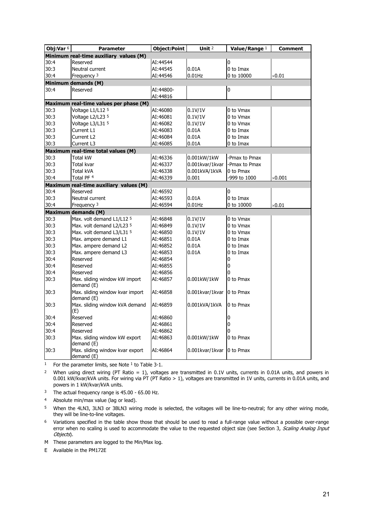| Obj:Var $6$ | <b>Parameter</b>                              | <b>Object:Point</b> | Unit <sup>2</sup> | Value/Range 1 | <b>Comment</b> |
|-------------|-----------------------------------------------|---------------------|-------------------|---------------|----------------|
|             | Minimum real-time auxiliary values (M)        |                     |                   |               |                |
| 30:4        | Reserved                                      | AI:44544            |                   | 0             |                |
| 30:3        | Neutral current                               | AI:44545            | 0.01A             | 0 to Imax     |                |
| 30:4        | Frequency <sup>3</sup>                        | AI:44546            | $0.01$ Hz         | 0 to 10000    | $\times 0.01$  |
|             | Minimum demands (M)                           |                     |                   |               |                |
| 30:4        | Reserved                                      | AI:44800-           |                   | $\mathbf 0$   |                |
|             |                                               | AI:44816            |                   |               |                |
|             | Maximum real-time values per phase (M)        |                     |                   |               |                |
| 30:3        | Voltage L1/L12 5                              | AI:46080            | 0.1V/1V           | 0 to Vmax     |                |
| 30:3        | Voltage L2/L23 5                              | AI:46081            | 0.1V/1V           | 0 to Vmax     |                |
| 30:3        | Voltage L3/L31 5                              | AI:46082            | 0.1V/1V           | 0 to Vmax     |                |
| 30:3        | Current L1                                    | AI:46083            | 0.01A             | 0 to Imax     |                |
| 30:3        | Current L2                                    | AI:46084            | 0.01A             | 0 to Imax     |                |
| 30:3        | Current L3                                    | AI:46085            | 0.01A             | 0 to Imax     |                |
|             | Maximum real-time total values (M)            |                     |                   |               |                |
| 30:3        | <b>Total kW</b>                               | AI:46336            | 0.001kW/1kW       | -Pmax to Pmax |                |
| 30:3        | Total kvar                                    | AI:46337            | 0.001kvar/1kvar   | -Pmax to Pmax |                |
| 30:3        | <b>Total kVA</b>                              | AI:46338            | 0.001kVA/1kVA     | 0 to Pmax     |                |
| 30:4        | Total PF 4                                    | AI:46339            | 0.001             | -999 to 1000  | $\times 0.001$ |
|             | Maximum real-time auxiliary values (M)        |                     |                   |               |                |
| 30:4        | Reserved                                      | AI:46592            |                   | 0             |                |
| 30:3        | Neutral current                               | AI:46593            | 0.01A             | 0 to Imax     |                |
| 30:4        | Frequency 3                                   | AI:46594            | $0.01$ Hz         | 0 to 10000    | $\times$ 0.01  |
|             | <b>Maximum demands (M)</b>                    |                     |                   |               |                |
| 30:3        | Max. volt demand L1/L12 5                     | AI:46848            | 0.1V/1V           | 0 to Vmax     |                |
| 30:3        | Max. volt demand L2/L23 5                     | AI:46849            | 0.1V/1V           | 0 to Vmax     |                |
| 30:3        | Max. volt demand L3/L31 5                     | AI:46850            | 0.1V/1V           | 0 to Vmax     |                |
| 30:3        | Max. ampere demand L1                         | AI:46851            | 0.01A             | 0 to Imax     |                |
| 30:3        | Max. ampere demand L2                         | AI:46852            | 0.01A             | 0 to Imax     |                |
| 30:3        | Max. ampere demand L3                         | AI:46853            | 0.01A             | 0 to Imax     |                |
| 30:4        | Reserved                                      | AI:46854            |                   | 0             |                |
| 30:4        | Reserved                                      | AI:46855            |                   | 0             |                |
| 30:4        | Reserved                                      | AI:46856            |                   | 0             |                |
| 30:3        | Max. sliding window kW import<br>demand (E)   | AI:46857            | 0.001kW/1kW       | 0 to Pmax     |                |
| 30:3        | Max. sliding window kvar import<br>demand (E) | AI:46858            | 0.001kvar/1kvar   | 10 to Pmax    |                |
| 30:3        | Max. sliding window kVA demand<br>(E)         | AI:46859            | 0.001kVA/1kVA     | 0 to Pmax     |                |
| 30:4        | Reserved                                      | AI:46860            |                   | $\pmb{0}$     |                |
| 30:4        | Reserved                                      | AI:46861            |                   | 0             |                |
| 30:4        | Reserved                                      | AI:46862            |                   | 0             |                |
| 30:3        | Max. sliding window kW export                 | AI:46863            | 0.001kW/1kW       | 0 to Pmax     |                |
|             | demand (E)                                    |                     |                   |               |                |
| 30:3        | Max. sliding window kvar export<br>demand (E) | AI:46864            | 0.001kvar/1kvar   | 0 to Pmax     |                |

<sup>1</sup> For the parameter limits, see Note  $1$  to Table 3-1.

<sup>2</sup> When using direct wiring (PT Ratio = 1), voltages are transmitted in 0.1V units, currents in 0.01A units, and powers in 0.001 kW/kvar/kVA units. For wiring via PT (PT Ratio > 1), voltages are transmitted in 1V units, currents in 0.01A units, and powers in 1 kW/kvar/kVA units.

<sup>3</sup> The actual frequency range is 45.00 - 65.00 Hz.

4 Absolute min/max value (lag or lead).

5 When the 4LN3, 3LN3 or 3BLN3 wiring mode is selected, the voltages will be line-to-neutral; for any other wiring mode, they will be line-to-line voltages.

6 Variations specified in the table show those that should be used to read a full-range value without a possible over-range error when no scaling is used to accommodate the value to the requested object size (see Section 3, Scaling Analog Input Objects).

M These parameters are logged to the Min/Max log.

E Available in the PM172E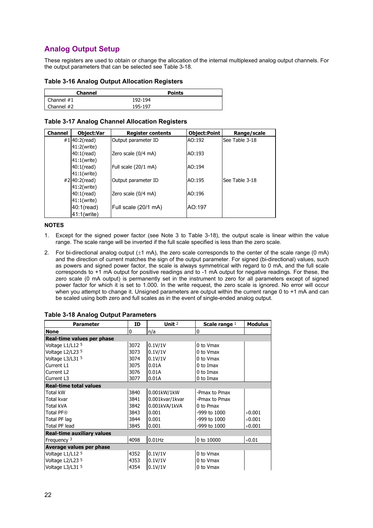## <span id="page-21-0"></span>**Analog Output Setup**

These registers are used to obtain or change the allocation of the internal multiplexed analog output channels. For the output parameters that can be selected see Table 3-18.

#### **Table 3-16 Analog Output Allocation Registers**

| <b>Channel</b>            | <b>Points</b> |
|---------------------------|---------------|
| $\blacksquare$ Channel #1 | 192-194       |
| $\blacksquare$ Channel #2 | 195-197       |

| <b>Channel</b> | <b>Object:Var</b> | <b>Register contents</b> | Object:Point | Range/scale    |
|----------------|-------------------|--------------------------|--------------|----------------|
|                | #1 $40:2$ (read)  | Output parameter ID      | AO:192       | See Table 3-18 |
|                | 41:2(write)       |                          |              |                |
|                | $40:1$ (read)     | Zero scale (0/4 mA)      | AO:193       |                |
|                | 41:1(write)       |                          |              |                |
|                | $40:1$ (read)     | Full scale (20/1 mA)     | AO:194       |                |
|                | 41:1(write)       |                          |              |                |
|                | #2 40:2(read)     | Output parameter ID      | AO:195       | See Table 3-18 |
|                | 41:2(write)       |                          |              |                |
|                | $40:1$ (read)     | Zero scale (0/4 mA)      | AO:196       |                |
|                | 41:1(write)       |                          |              |                |
|                | 40:1(read)        | Full scale (20/1 mA)     | AO:197       |                |
|                | 41:1(write)       |                          |              |                |

#### **NOTES**

- 1. Except for the signed power factor (see Note 3 to Table 3-18), the output scale is linear within the value range. The scale range will be inverted if the full scale specified is less than the zero scale.
- 2. For bi-directional analog output (±1 mA), the zero scale corresponds to the center of the scale range (0 mA) and the direction of current matches the sign of the output parameter. For signed (bi-directional) values, such as powers and signed power factor, the scale is always symmetrical with regard to 0 mA, and the full scale corresponds to +1 mA output for positive readings and to -1 mA output for negative readings. For these, the zero scale (0 mA output) is permanently set in the instrument to zero for all parameters except of signed power factor for which it is set to 1.000. In the write request, the zero scale is ignored. No error will occur when you attempt to change it. Unsigned parameters are output within the current range 0 to +1 mA and can be scaled using both zero and full scales as in the event of single-ended analog output.

| <b>Parameter</b>                  | Unit $2$<br>ID<br>Scale range $1$ |                 |               | <b>Modulus</b> |
|-----------------------------------|-----------------------------------|-----------------|---------------|----------------|
| <b>None</b>                       | 0                                 | n/a             | $\mathbf{0}$  |                |
| Real-time values per phase        |                                   |                 |               |                |
| Voltage L1/L12 5                  | 3072                              | 0.1V/1V         | 0 to Vmax     |                |
| Voltage L2/L23 5                  | 3073                              | 0.1V/1V         | 0 to Vmax     |                |
| Voltage L3/L31 5                  | 3074                              | 0.1V/1V         | 0 to Vmax     |                |
| Current L1                        | 3075                              | 0.01A           | $0$ to Imax   |                |
| Current L <sub>2</sub>            | 3076                              | 0.01A           | 0 to Imax     |                |
| Current L3                        | 3077                              | 0.01A           | 0 to Imax     |                |
| <b>Real-time total values</b>     |                                   |                 |               |                |
| Total kW                          | 3840                              | 0.001kW/1kW     | -Pmax to Pmax |                |
| Total kvar                        | 3841                              | 0.001kvar/1kvar | -Pmax to Pmax |                |
| Total kVA                         | 3842                              | 0.001kVA/1kVA   | 0 to Pmax     |                |
| Total PF <sup>®</sup>             | 3843                              | 0.001           | -999 to 1000  | $\times$ 0.001 |
| Total PF lag                      | 3844                              | 0.001           | -999 to 1000  | $\times$ 0.001 |
| Total PF lead                     | 3845                              | 0.001           | -999 to 1000  | $\times$ 0.001 |
| <b>Real-time auxiliary values</b> |                                   |                 |               |                |
| Frequency 3                       | 4098                              | $0.01$ Hz       | 0 to 10000    | $\times 0.01$  |
| Average values per phase          |                                   |                 |               |                |
| Voltage L1/L12 5                  | 4352                              | 0.1V/1V         | 0 to Vmax     |                |
| Voltage L2/L23 5                  | 4353                              | 0.1V/1V         | 0 to Vmax     |                |
| Voltage L3/L31 5                  | 4354                              | 0.1V/1V         | 0 to Vmax     |                |

**Table 3-18 Analog Output Parameters**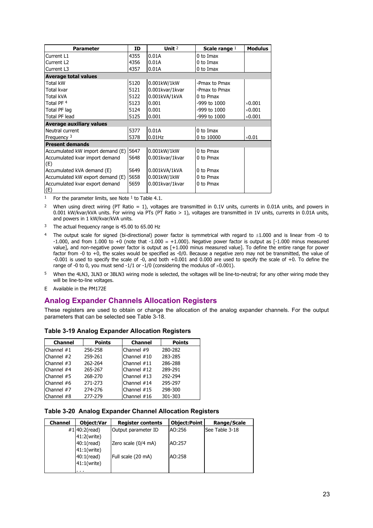| <b>Parameter</b>                      | ID   | Unit $2$        | Scale range $1$ | <b>Modulus</b> |
|---------------------------------------|------|-----------------|-----------------|----------------|
| Current L1                            | 4355 | 0.01A           | 0 to Imax       |                |
| Current L2                            | 4356 | 0.01A           | 0 to Imax       |                |
| Current L3                            | 4357 | 0.01A           | 0 to Imax       |                |
| <b>Average total values</b>           |      |                 |                 |                |
| Total kW                              | 5120 | 0.001kW/1kW     | -Pmax to Pmax   |                |
| Total kvar                            | 5121 | 0.001kvar/1kvar | -Pmax to Pmax   |                |
| Total kVA                             | 5122 | 0.001kVA/1kVA   | 0 to Pmax       |                |
| Total PF <sup>4</sup>                 | 5123 | 0.001           | -999 to 1000    | $\times$ 0.001 |
| Total PF lag                          | 5124 | 0.001           | -999 to 1000    | $\times$ 0.001 |
| Total PF lead                         | 5125 | 0.001           | -999 to 1000    | $\times$ 0.001 |
| <b>Average auxiliary values</b>       |      |                 |                 |                |
| Neutral current                       | 5377 | 0.01A           | 0 to Imax       |                |
| Frequency $3$                         | 5378 | $0.01$ Hz       | 0 to 10000      | $\times$ 0.01  |
| <b>Present demands</b>                |      |                 |                 |                |
| Accumulated kW import demand (E)      | 5647 | 0.001kW/1kW     | 0 to Pmax       |                |
| Accumulated kvar import demand<br>(E) | 5648 | 0.001kvar/1kvar | 0 to Pmax       |                |
| Accumulated kVA demand (E)            | 5649 | 0.001kVA/1kVA   | 0 to Pmax       |                |
| Accumulated kW export demand (E)      | 5658 | 0.001kW/1kW     | 0 to Pmax       |                |
| Accumulated kvar export demand<br>(E) | 5659 | 0.001kvar/1kvar | 0 to Pmax       |                |

<sup>1</sup> For the parameter limits, see Note  $1$  to Table 4.1.

<sup>2</sup> When using direct wiring (PT Ratio = 1), voltages are transmitted in 0.1V units, currents in 0.01A units, and powers in 0.001 kW/kvar/kVA units. For wiring via PTs (PT Ratio > 1), voltages are transmitted in 1V units, currents in 0.01A units, and powers in 1 kW/kvar/kVA units.

- <sup>3</sup> The actual frequency range is 45.00 to 65.00 Hz
- <sup>4</sup> The output scale for signed (bi-directional) power factor is symmetrical with regard to  $\pm 1.000$  and is linear from -0 to -1.000, and from 1.000 to +0 (note that -1.000  $\equiv$  +1.000). Negative power factor is output as [-1.000 minus measured value], and non-negative power factor is output as [+1.000 minus measured value]. To define the entire range for power factor from -0 to +0, the scales would be specified as -0/0. Because a negative zero may not be transmitted, the value of -0.001 is used to specify the scale of -0, and both +0.001 and 0.000 are used to specify the scale of +0. To define the range of -0 to 0, you must send -1/1 or -1/0 (considering the modulus of  $\times$ 0.001).
- 5 When the 4LN3, 3LN3 or 3BLN3 wiring mode is selected, the voltages will be line-to-neutral; for any other wiring mode they will be line-to-line voltages.
- E Available in the PM172E

## <span id="page-22-0"></span>**Analog Expander Channels Allocation Registers**

These registers are used to obtain or change the allocation of the analog expander channels. For the output parameters that can be selected see Table 3-18.

| <b>Channel</b> | <b>Points</b> | <b>Channel</b> | <b>Points</b> |
|----------------|---------------|----------------|---------------|
| Channel $#1$   | 256-258       | Channel #9     | 280-282       |
| Channel $#2$   | 259-261       | Channel #10    | 283-285       |
| Channel $#3$   | 262-264       | Channel #11    | 286-288       |
| Channel #4     | 265-267       | Channel #12    | 289-291       |
| Channel #5     | 268-270       | Channel #13    | 292-294       |
| Channel $#6$   | 271-273       | Channel #14    | 295-297       |
| Channel #7     | 274-276       | Channel #15    | 298-300       |
| Channel #8     | 277-279       | Channel $#16$  | 301-303       |

**Table 3-19 Analog Expander Allocation Registers** 

## **Table 3-20 Analog Expander Channel Allocation Registers**

| <b>Channel</b> | <b>Object:Var</b> | <b>Register contents</b> | <b>Object:Point</b> | Range/Scale    |
|----------------|-------------------|--------------------------|---------------------|----------------|
|                | #1 $40:2$ (read)  | Output parameter ID      | AO:256              | See Table 3-18 |
|                | 41:2(write)       |                          |                     |                |
|                | $40:1$ (read)     | Zero scale (0/4 mA)      | AO:257              |                |
|                | 41:1(write)       |                          |                     |                |
|                | 40:1(read)        | Full scale (20 mA)       | AO:258              |                |
|                | 41:1(write)       |                          |                     |                |
|                | .                 |                          |                     |                |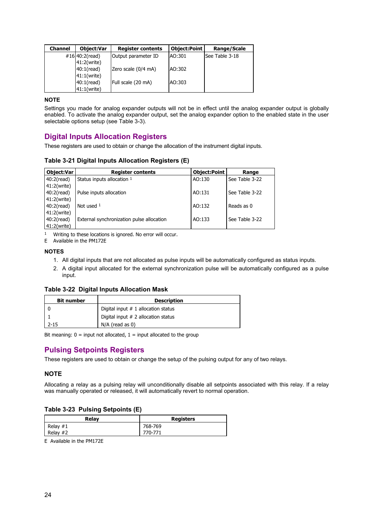| <b>Channel</b> | <b>Object:Var</b> | <b>Register contents</b> | Object:Point | Range/Scale    |
|----------------|-------------------|--------------------------|--------------|----------------|
|                | #16 $40:2$ (read) | Output parameter ID      | AO:301       | See Table 3-18 |
|                | 41:2(write)       |                          |              |                |
|                | $40:1$ (read)     | Zero scale (0/4 mA)      | AO:302       |                |
|                | 41:1(write)       |                          |              |                |
|                | $40:1$ (read)     | Full scale (20 mA)       | AO:303       |                |
|                | $41:1$ (write)    |                          |              |                |

#### **NOTE**

Settings you made for analog expander outputs will not be in effect until the analog expander output is globally enabled. To activate the analog expander output, set the analog expander option to the enabled state in the user selectable options setup (see Table 3-3).

## <span id="page-23-0"></span>**Digital Inputs Allocation Registers**

These registers are used to obtain or change the allocation of the instrument digital inputs.

#### **Table 3-21 Digital Inputs Allocation Registers (E)**

| <b>Object:Var</b> | <b>Register contents</b>                  | <b>Object:Point</b> | Range          |
|-------------------|-------------------------------------------|---------------------|----------------|
| $40:2$ (read)     | Status inputs allocation 1                | AO:130              | See Table 3-22 |
| 41:2(write)       |                                           |                     |                |
| $40:2$ (read)     | Pulse inputs allocation                   | AO:131              | See Table 3-22 |
| 41:2(write)       |                                           |                     |                |
| $40:2$ (read)     | Not used $1$                              | AO:132              | Reads as 0     |
| 41:2(write)       |                                           |                     |                |
| $40:2$ (read)     | External synchronization pulse allocation | AO:133              | See Table 3-22 |
| 41:2(write)       |                                           |                     |                |

1 Writing to these locations is ignored. No error will occur.

E Available in the PM172E

#### **NOTES**

- 1. All digital inputs that are not allocated as pulse inputs will be automatically configured as status inputs.
- 2. A digital input allocated for the external synchronization pulse will be automatically configured as a pulse input.

#### **Table 3-22 Digital Inputs Allocation Mask**

| <b>Bit number</b> | <b>Description</b>                    |
|-------------------|---------------------------------------|
|                   | Digital input $# 1$ allocation status |
|                   | Digital input $# 2$ allocation status |
| $2 - 15$          | $N/A$ (read as 0)                     |

Bit meaning:  $0 =$  input not allocated,  $1 =$  input allocated to the group

## <span id="page-23-1"></span>**Pulsing Setpoints Registers**

These registers are used to obtain or change the setup of the pulsing output for any of two relays.

#### **NOTE**

Allocating a relay as a pulsing relay will unconditionally disable all setpoints associated with this relay. If a relay was manually operated or released, it will automatically revert to normal operation.

#### **Table 3-23 Pulsing Setpoints (E)**

| Relay      | <b>Registers</b> |
|------------|------------------|
| Relay $#1$ | 768-769          |
| Relay #2   | 770-771          |

E Available in the PM172E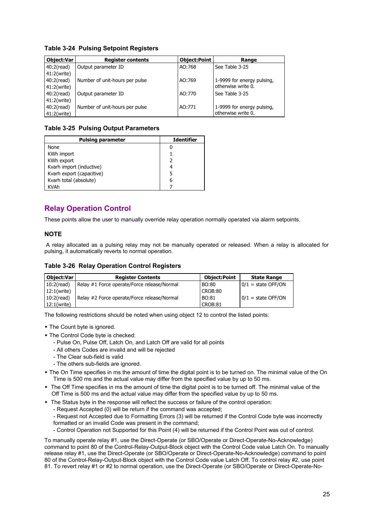#### **Table 3-24 Pulsing Setpoint Registers**

| <b>Object:Var</b>   | <b>Register contents</b>       | <b>Object:Point</b> | Range                      |
|---------------------|--------------------------------|---------------------|----------------------------|
| $40:2$ (read)       | Output parameter ID            | AO:768              | See Table 3-25             |
| 41:2(write)         |                                |                     |                            |
| 40:2(read)          | Number of unit-hours per pulse | AO:769              | 1-9999 for energy pulsing, |
| 41:2(write)         |                                |                     | otherwise write 0.         |
| 40:2(read)          | Output parameter ID            | AO:770              | See Table 3-25             |
| 41:2(write)         |                                |                     |                            |
| $40:2(\text{read})$ | Number of unit-hours per pulse | AO:771              | 1-9999 for energy pulsing, |
| 41:2(write)         |                                |                     | otherwise write 0.         |

### **Table 3-25 Pulsing Output Parameters**

| <b>Pulsing parameter</b>  | <b>Identifier</b> |
|---------------------------|-------------------|
| None                      |                   |
| KWh import                |                   |
| KWh export                | 2                 |
| Kvarh import (inductive)  | 4                 |
| Kvarh export (capacitive) | 5                 |
| Kvarh total (absolute)    | 6                 |
| <b>KVAh</b>               |                   |

## <span id="page-24-0"></span>**Relay Operation Control**

These points allow the user to manually override relay operation normally operated via alarm setpoints.

#### **NOTE**

 A relay allocated as a pulsing relay may not be manually operated or released. When a relay is allocated for pulsing, it automatically reverts to normal operation.

#### **Table 3-26 Relay Operation Control Registers**

| <b>Object:Var</b> | <b>Register Contents</b>                    | <b>Object:Point</b> | <b>State Range</b>   |
|-------------------|---------------------------------------------|---------------------|----------------------|
| $10:2$ (read)     | Relay #1 Force operate/Force release/Normal | <b>BO:80</b>        | $0/1$ = state OFF/ON |
| 12:1(write)       |                                             | CROB:80             |                      |
| $10:2$ (read)     | Relay #2 Force operate/Force release/Normal | BO:81               | $0/1$ = state OFF/ON |
| 12:1(write)       |                                             | CROB:81             |                      |

The following restrictions should be noted when using object 12 to control the listed points:

- The Count byte is ignored.
- The Control Code byte is checked:
	- Pulse On, Pulse Off, Latch On, and Latch Off are valid for all points
	- All others Codes are invalid and will be rejected
	- The Clear sub-field is valid
	- The others sub-fields are ignored.
- The On Time specifies in ms the amount of time the digital point is to be turned on. The minimal value of the On Time is 500 ms and the actual value may differ from the specified value by up to 50 ms.
- The Off Time specifies in ms the amount of time the digital point is to be turned off. The minimal value of the Off Time is 500 ms and the actual value may differ from the specified value by up to 50 ms.
- The Status byte in the response will reflect the success or failure of the control operation:
	- Request Accepted (0) will be return if the command was accepted;

- Request not Accepted due to Formatting Errors (3) will be returned if the Control Code byte was incorrectly formatted or an invalid Code was present in the command;

- Control Operation not Supported for this Point (4) will be returned if the Control Point was out of control.

To manually operate relay #1, use the Direct-Operate (or SBO/Operate or Direct-Operate-No-Acknowledge) command to point 80 of the Control-Relay-Output-Block object with the Control Code value Latch On. To manually release relay #1, use the Direct-Operate (or SBO/Operate or Direct-Operate-No-Acknowledge) command to point 80 of the Control-Relay-Output-Block object with the Control Code value Latch Off. To control relay #2, use point 81. To revert relay #1 or #2 to normal operation, use the Direct-Operate (or SBO/Operate or Direct-Operate-No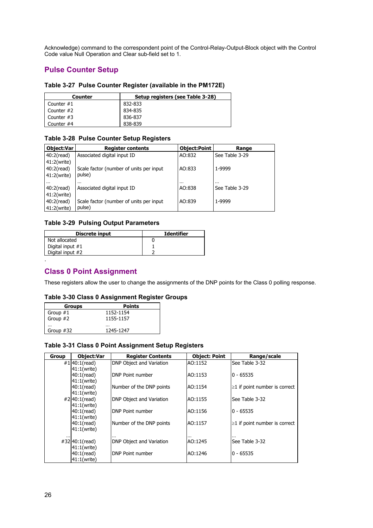Acknowledge) command to the correspondent point of the Control-Relay-Output-Block object with the Control Code value Null Operation and Clear sub-field set to 1.

## <span id="page-25-0"></span>**Pulse Counter Setup**

| Table 3-27 Pulse Counter Register (available in the PM172E) |
|-------------------------------------------------------------|
|-------------------------------------------------------------|

| Counter      | Setup registers (see Table 3-28) |
|--------------|----------------------------------|
| Counter $#1$ | 832-833                          |
| Counter #2   | 834-835                          |
| Counter $#3$ | 836-837                          |
| Counter #4   | 838-839                          |

#### **Table 3-28 Pulse Counter Setup Registers**

| <b>Object:Var</b> | <b>Register contents</b>                | <b>Object:Point</b> | Range          |
|-------------------|-----------------------------------------|---------------------|----------------|
| $40:2$ (read)     | Associated digital input ID             | AO:832              | See Table 3-29 |
| 41:2(write)       |                                         |                     |                |
| $40:2$ (read)     | Scale factor (number of units per input | AO:833              | 1-9999         |
| 41:2(write)       | pulse)                                  |                     |                |
| $\cdots$          | $\cdots$                                | $\cdots$            | $\cdots$       |
| $40:2$ (read)     | Associated digital input ID             | AO:838              | See Table 3-29 |
| 41:2(write)       |                                         |                     |                |
| $40:2$ (read)     | Scale factor (number of units per input | AO:839              | 1-9999         |
| 41:2(write)       | pulse)                                  |                     |                |

### **Table 3-29 Pulsing Output Parameters**

| Discrete input     | <b>Identifier</b> |
|--------------------|-------------------|
| Not allocated      |                   |
| Digital input $#1$ |                   |
| Digital input #2   |                   |
|                    |                   |

## <span id="page-25-1"></span>**Class 0 Point Assignment**

These registers allow the user to change the assignments of the DNP points for the Class 0 polling response.

#### **Table 3-30 Class 0 Assignment Register Groups**

| <b>Groups</b> | <b>Points</b> |
|---------------|---------------|
| Group $#1$    | 1152-1154     |
| Group $#2$    | 1155-1157     |
|               |               |
| Group #32     | 1245-1247     |

#### **Table 3-31 Class 0 Point Assignment Setup Registers**

| <b>Group</b> | <b>Object:Var</b> | <b>Register Contents</b>        | <b>Object: Point</b> | Range/scale                         |
|--------------|-------------------|---------------------------------|----------------------|-------------------------------------|
|              | #1 $40:1$ (read)  | <b>DNP Object and Variation</b> | AO:1152              | See Table 3-32                      |
|              | $41:1$ (write)    |                                 |                      |                                     |
|              | $40:1$ (read)     | DNP Point number                | AO:1153              | $0 - 65535$                         |
|              | 41:1(write)       |                                 |                      |                                     |
|              | $40:1$ (read)     | Number of the DNP points        | AO:1154              | $\geq$ 1 if point number is correct |
|              | $41:1$ (write)    |                                 |                      |                                     |
|              | #2 40:1(read)     | DNP Object and Variation        | AO:1155              | See Table 3-32                      |
|              | $41:1$ (write)    |                                 |                      |                                     |
|              | $40:1$ (read)     | DNP Point number                | AO:1156              | $0 - 65535$                         |
|              | 41:1(write)       |                                 |                      |                                     |
|              | $40:1$ (read)     | Number of the DNP points        | AO:1157              | $\geq$ 1 if point number is correct |
|              | 41:1(write)       |                                 |                      |                                     |
| $\cdots$     | #32 40:1(read)    | <br>DNP Object and Variation    | <br>AO:1245          | See Table 3-32                      |
|              | 41:1(write)       |                                 |                      |                                     |
|              | $40:1$ (read)     | DNP Point number                | AO:1246              | $0 - 65535$                         |
|              | $41:1$ (write)    |                                 |                      |                                     |
|              |                   |                                 |                      |                                     |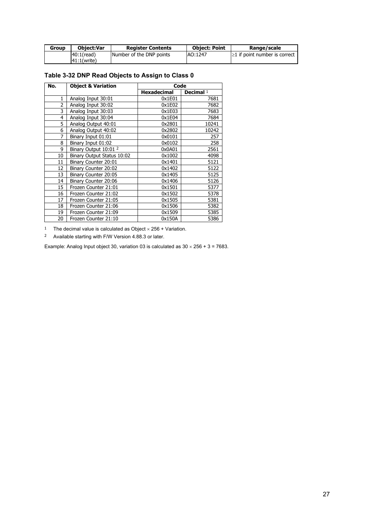| Group | <b>Object:Var</b> | <b>Register Contents</b> | <b>Object: Point</b> | Range/scale                         |
|-------|-------------------|--------------------------|----------------------|-------------------------------------|
|       | $40:1$ (read)     | Number of the DNP points | AO:1247              | $\geq 1$ if point number is correct |
|       | 41:1(write)       |                          |                      |                                     |

## **Table 3-32 DNP Read Objects to Assign to Class 0**

| No.            | <b>Object &amp; Variation</b> | Code               |             |  |
|----------------|-------------------------------|--------------------|-------------|--|
|                |                               | <b>Hexadecimal</b> | Decimal $1$ |  |
| 1              | Analog Input 30:01            | 0x1E01             | 7681        |  |
| $\overline{2}$ | Analog Input 30:02            | 0x1E02             | 7682        |  |
| 3              | Analog Input 30:03            | 0x1E03             | 7683        |  |
| 4              | Analog Input 30:04            | 0x1E04             | 7684        |  |
| 5              | Analog Output 40:01           | 0x2801             | 10241       |  |
| 6              | Analog Output 40:02           | 0x2802             | 10242       |  |
| 7              | Binary Input 01:01            | 0x0101             | 257         |  |
| 8              | Binary Input 01:02            | 0x0102             | 258         |  |
| 9              | Binary Output 10:01 2         | 0x0A01             | 2561        |  |
| 10             | Binary Output Status 10:02    | 0x1002             | 4098        |  |
| 11             | Binary Counter 20:01          | 0x1401             | 5121        |  |
| 12             | Binary Counter 20:02          | 0x1402             | 5122        |  |
| 13             | Binary Counter 20:05          | 0x1405             | 5125        |  |
| 14             | Binary Counter 20:06          | 0x1406             | 5126        |  |
| 15             | Frozen Counter 21:01          | 0x1501             | 5377        |  |
| 16             | Frozen Counter 21:02          | 0x1502             | 5378        |  |
| 17             | Frozen Counter 21:05          | 0x1505             | 5381        |  |
| 18             | Frozen Counter 21:06          | 0x1506             | 5382        |  |
| 19             | Frozen Counter 21:09          | 0x1509             | 5385        |  |
| 20             | Frozen Counter 21:10          | 0x150A             | 5386        |  |

<sup>1</sup> The decimal value is calculated as Object  $\times$  256 + Variation.

2 Available starting with F/W Version 4.88.3 or later.

Example: Analog Input object 30, variation 03 is calculated as  $30 \times 256 + 3 = 7683$ .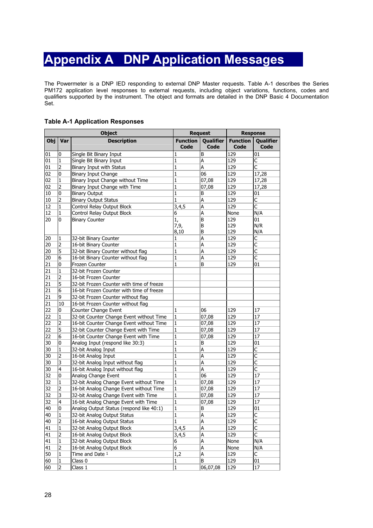## **Appendix A DNP Application Messages**

<span id="page-27-0"></span>The Powermeter is a DNP IED responding to external DNP Master requests. Table A-1 describes the Series PM172 application level responses to external requests, including object variations, functions, codes and qualifiers supported by the instrument. The object and formats are detailed in the DNP Basic 4 Documentation Set.

#### **Table A-1 Application Responses**

|     | <b>Object</b>  |                                           | <b>Request</b>          |                          | <b>Response</b>         |                         |
|-----|----------------|-------------------------------------------|-------------------------|--------------------------|-------------------------|-------------------------|
| Obj | Var            | <b>Description</b>                        | <b>Function</b><br>Code | Qualifier<br><b>Code</b> | <b>Function</b><br>Code | Qualifier<br>Code       |
| 01  | 0              | Single Bit Binary Input                   | 1                       | B                        | 129                     | 01                      |
| 01  | 1              | Single Bit Binary Input                   | 1                       | A                        | 129                     | C                       |
| 01  | $\overline{2}$ | Binary Input with Status                  | 1                       | A                        | 129                     | $\overline{\mathsf{C}}$ |
| 02  | 0              | Binary Input Change                       | 1                       | 06                       | 129                     | 17,28                   |
| 02  | $\mathbf{1}$   | Binary Input Change without Time          | 1                       | 07,08                    | 129                     | 17,28                   |
| 02  | 2              | Binary Input Change with Time             | 1                       | 07,08                    | 129                     | 17,28                   |
| 10  | $\bf{0}$       | <b>Binary Output</b>                      | 1                       | B                        | 129                     | 01                      |
| 10  | $\overline{2}$ | <b>Binary Output Status</b>               | 1                       | A                        | 129                     | C                       |
| 12  | $\mathbf{1}$   | Control Relay Output Block                | 3,4,5                   | A                        | 129                     | $\overline{\mathsf{c}}$ |
| 12  | 1              | Control Relay Output Block                | 6                       | A                        | None                    | N/A                     |
| 20  | 0              | <b>Binary Counter</b>                     | 1,                      | B                        | 129                     | 01                      |
|     |                |                                           | 7,9,                    | B                        | 129                     | N/R                     |
|     |                |                                           | 8,10                    | B                        | 129                     | N/A                     |
| 20  | 1              | 32-bit Binary Counter                     | 1                       | A                        | 129                     | C                       |
| 20  | 2              | 16-bit Binary Counter                     | 1                       | A                        | 129                     | $\overline{\mathsf{C}}$ |
| 20  | 5              | 32-bit Binary Counter without flag        | 1                       | A                        | 129                     | $\overline{\mathsf{C}}$ |
| 20  | 6              | 16-bit Binary Counter without flag        | 1                       | A                        | 129                     | C                       |
| 21  | 0              | Frozen Counter                            | 1                       | B                        | 129                     | 01                      |
| 21  | $\mathbf{1}$   | 32-bit Frozen Counter                     |                         |                          |                         |                         |
| 21  | 2              | 16-bit Frozen Counter                     |                         |                          |                         |                         |
| 21  | 5              | 32-bit Frozen Counter with time of freeze |                         |                          |                         |                         |
| 21  | 6              | 16-bit Frozen Counter with time of freeze |                         |                          |                         |                         |
| 21  | 9              | 32-bit Frozen Counter without flag        |                         |                          |                         |                         |
| 21  | 10             | 16-bit Frozen Counter without flag        |                         |                          |                         |                         |
| 22  | 0              | Counter Change Event                      | 1                       | 06                       | 129                     | 17                      |
| 22  | $\mathbf{1}$   | 32-bit Counter Change Event without Time  | 1                       | 07,08                    | 129                     | 17                      |
| 22  | $\overline{2}$ | 16-bit Counter Change Event without Time  | 1                       | 07,08                    | 129                     | 17                      |
| 22  | 5              | 32-bit Counter Change Event with Time     | $\mathbf{1}$            | 07,08                    | 129                     | 17                      |
| 22  | 6              | 16-bit Counter Change Event with Time     | 1                       | 07,08                    | 129                     | 17                      |
| 30  | 0              | Analog Input (respond like 30:3)          | 1                       | B                        | 129                     | 01                      |
| 30  | $\overline{1}$ | 32-bit Analog Input                       | $\mathbf{1}$            | A                        | 129                     | $\overline{\mathsf{C}}$ |
| 30  | 2              | 16-bit Analog Input                       | 1                       | A                        | 129                     | C                       |
| 30  | 3              | 32-bit Analog Input without flag          | 1                       | A                        | 129                     | C                       |
| 30  | 4              | 16-bit Analog Input without flag          | 1                       | A                        | 129                     | $\overline{\mathsf{C}}$ |
| 32  | 0              | Analog Change Event                       | $\mathbf{1}$            | 06                       | 129                     | 17                      |
| 32  | $\mathbf{1}$   | 32-bit Analog Change Event without Time   | 1                       | $\overline{0}$ 7,08      | 129                     | 17                      |
| 32  | $\overline{2}$ | 16-bit Analog Change Event without Time   | 1                       | 07,08                    | 129                     | 17                      |
| 32  | $\overline{3}$ | 32-bit Analog Change Event with Time      | $\mathbf{1}$            | 07,08                    | 129                     | 17                      |
| 32  | $\overline{4}$ | 16-bit Analog Change Event with Time      | 1                       | 07,08                    | 129                     | 17                      |
| 40  | 0              | Analog Output Status (respond like 40:1)  | $\mathbf{1}$            | B                        | 129                     | 01                      |
| 40  | 1              | 32-bit Analog Output Status               | 1                       | A                        | 129                     | $\mathsf{C}$            |
| 40  | $\overline{2}$ | 16-bit Analog Output Status               | 1                       | A                        | 129                     | $\overline{\mathsf{C}}$ |
| 41  | 1              | 32-bit Analog Output Block                | 3,4,5                   | A                        | 129                     | $\mathsf C$             |
| 41  | 2              | 16-bit Analog Output Block                | 3,4,5                   | A                        | 129                     | $\mathsf{C}$            |
| 41  | 1              | 32-bit Analog Output Block                | 6                       | A                        | None                    | N/A                     |
| 41  | 2              | 16-bit Analog Output Block                | $\overline{6}$          | A                        | None                    | N/A                     |
| 50  | 1              | Time and Date 1                           | 1,2                     | A                        | 129                     | C                       |
| 60  | 1              | Class 0                                   | 1                       | B                        | 129                     | 01                      |
| 60  | $\overline{2}$ | Class 1                                   | 1                       | 06,07,08                 | 129                     | 17                      |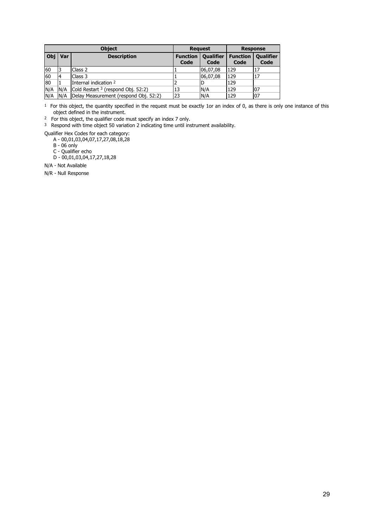|     | <b>Object</b> |                                               | <b>Request</b>          |                          | <b>Response</b>         |                          |
|-----|---------------|-----------------------------------------------|-------------------------|--------------------------|-------------------------|--------------------------|
| Obj | Var           | <b>Description</b>                            | <b>Function</b><br>Code | <b>Qualifier</b><br>Code | <b>Function</b><br>Code | <b>Qualifier</b><br>Code |
| 60  |               | Class 2                                       |                         | 06,07,08                 | 129                     |                          |
| 60  |               | Class 3                                       |                         | 06,07,08                 | 129                     | 17                       |
| 80  |               | Internal indication 2                         |                         |                          | 129                     |                          |
| N/A | N/A           | Cold Restart <sup>3</sup> (respond Obj. 52:2) | 13                      | N/A                      | 129                     | 07                       |
| N/A | N/A           | Delay Measurement (respond Obj. 52:2)         | 23                      | N/A                      | 129                     | 07                       |

 $1$  For this object, the quantity specified in the request must be exactly 1or an index of 0, as there is only one instance of this object defined in the instrument.

2 For this object, the qualifier code must specify an index 7 only.

3 Respond with time object 50 variation 2 indicating time until instrument availability.

Qualifier Hex Codes for each category:

A - 00,01,03,04,07,17,27,08,18,28

B - 06 only

C - Qualifier echo

D - 00,01,03,04,17,27,18,28

N/A - Not Available

N/R - Null Response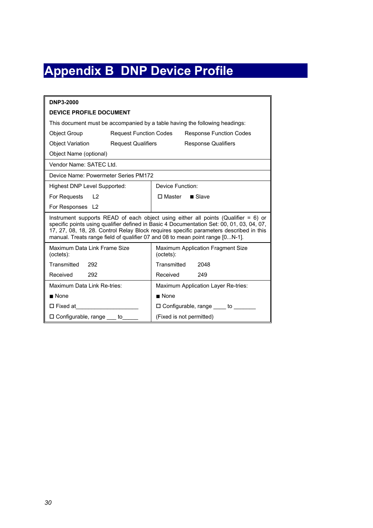## **Appendix B DNP Device Profile**

<span id="page-29-0"></span>

| DNP3-2000                                                                                                                                                                                                                                                                                                                                                     |                               |                                                       |                                                                             |  |
|---------------------------------------------------------------------------------------------------------------------------------------------------------------------------------------------------------------------------------------------------------------------------------------------------------------------------------------------------------------|-------------------------------|-------------------------------------------------------|-----------------------------------------------------------------------------|--|
| <b>DEVICE PROFILE DOCUMENT</b>                                                                                                                                                                                                                                                                                                                                |                               |                                                       |                                                                             |  |
|                                                                                                                                                                                                                                                                                                                                                               |                               |                                                       | This document must be accompanied by a table having the following headings: |  |
| <b>Object Group</b>                                                                                                                                                                                                                                                                                                                                           | <b>Request Function Codes</b> |                                                       | <b>Response Function Codes</b>                                              |  |
| Object Variation                                                                                                                                                                                                                                                                                                                                              | <b>Request Qualifiers</b>     |                                                       | <b>Response Qualifiers</b>                                                  |  |
| Object Name (optional)                                                                                                                                                                                                                                                                                                                                        |                               |                                                       |                                                                             |  |
| Vendor Name: SATEC Ltd.                                                                                                                                                                                                                                                                                                                                       |                               |                                                       |                                                                             |  |
| Device Name: Powermeter Series PM172                                                                                                                                                                                                                                                                                                                          |                               |                                                       |                                                                             |  |
| Highest DNP Level Supported:                                                                                                                                                                                                                                                                                                                                  |                               | Device Function:                                      |                                                                             |  |
| For Requests L2                                                                                                                                                                                                                                                                                                                                               |                               | $\Box$ Master $\Box$ Slave                            |                                                                             |  |
| For Responses L2                                                                                                                                                                                                                                                                                                                                              |                               |                                                       |                                                                             |  |
| Instrument supports READ of each object using either all points (Qualifier $= 6$ ) or<br>specific points using qualifier defined in Basic 4 Documentation Set: 00, 01, 03, 04, 07,<br>17, 27, 08, 18, 28. Control Relay Block requires specific parameters described in this<br>manual. Treats range field of qualifier 07 and 08 to mean point range [0N-1]. |                               |                                                       |                                                                             |  |
| Maximum Data Link Frame Size<br>(octets):                                                                                                                                                                                                                                                                                                                     |                               | <b>Maximum Application Fragment Size</b><br>(octets): |                                                                             |  |
| Transmitted 292                                                                                                                                                                                                                                                                                                                                               |                               | Transmitted                                           | 2048                                                                        |  |
| Received<br>292                                                                                                                                                                                                                                                                                                                                               |                               | Received                                              | 249                                                                         |  |
| Maximum Data Link Re-tries:                                                                                                                                                                                                                                                                                                                                   |                               | Maximum Application Layer Re-tries:                   |                                                                             |  |
| $\blacksquare$ None                                                                                                                                                                                                                                                                                                                                           |                               | $\blacksquare$ None                                   |                                                                             |  |
| $\Box$ Fixed at                                                                                                                                                                                                                                                                                                                                               |                               | $\square$ Configurable, range to                      |                                                                             |  |
| $\square$ Configurable, range $\square$ to                                                                                                                                                                                                                                                                                                                    |                               | (Fixed is not permitted)                              |                                                                             |  |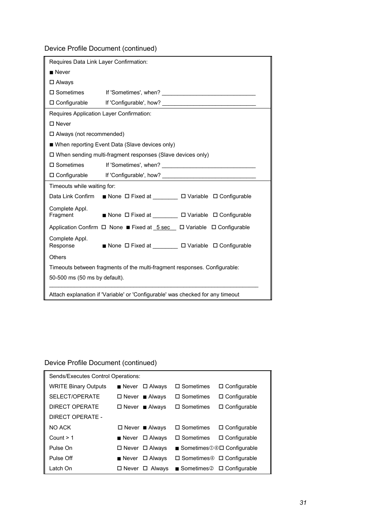Device Profile Document (continued)

| Requires Data Link Layer Confirmation:                                         |                                                                                              |  |  |  |  |
|--------------------------------------------------------------------------------|----------------------------------------------------------------------------------------------|--|--|--|--|
| $\blacksquare$ Never                                                           |                                                                                              |  |  |  |  |
| $\Box$ Always                                                                  |                                                                                              |  |  |  |  |
| $\square$ Sometimes                                                            |                                                                                              |  |  |  |  |
|                                                                                |                                                                                              |  |  |  |  |
| Requires Application Layer Confirmation:                                       |                                                                                              |  |  |  |  |
| $\square$ Never                                                                |                                                                                              |  |  |  |  |
| $\Box$ Always (not recommended)                                                |                                                                                              |  |  |  |  |
|                                                                                | ■ When reporting Event Data (Slave devices only)                                             |  |  |  |  |
|                                                                                | $\Box$ When sending multi-fragment responses (Slave devices only)                            |  |  |  |  |
| $\square$ Sometimes                                                            |                                                                                              |  |  |  |  |
|                                                                                |                                                                                              |  |  |  |  |
| Timeouts while waiting for:                                                    |                                                                                              |  |  |  |  |
|                                                                                | Data Link Confirm ■ None ロ Fixed at ________ ロ Variable ロ Configurable                       |  |  |  |  |
| Complete Appl.<br>Fragment                                                     | ■ None ロ Fixed at ________ ロ Variable ロ Configurable                                         |  |  |  |  |
|                                                                                | Application Confirm $\Box$ None Fixed at $5 \text{ sec}$ $\Box$ Variable $\Box$ Configurable |  |  |  |  |
| Complete Appl.<br>Response                                                     | ■ None ロ Fixed at ________ ロ Variable ロ Configurable                                         |  |  |  |  |
| <b>Others</b>                                                                  |                                                                                              |  |  |  |  |
| Timeouts between fragments of the multi-fragment responses. Configurable:      |                                                                                              |  |  |  |  |
| 50-500 ms (50 ms by default).                                                  |                                                                                              |  |  |  |  |
| Attach explanation if 'Variable' or 'Configurable' was checked for any timeout |                                                                                              |  |  |  |  |

## Device Profile Document (continued)

| Sends/Executes Control Operations: |                                          |                                                           |  |  |
|------------------------------------|------------------------------------------|-----------------------------------------------------------|--|--|
| <b>WRITE Binary Outputs</b>        | $\blacksquare$ Never<br>$\square$ Always | $\square$ Sometimes<br>$\Box$ Configurable                |  |  |
| SELECT/OPERATE                     | $\Box$ Never Always                      | $\Box$ Sometimes<br>$\Box$ Configurable                   |  |  |
| DIRECT OPFRATE                     | $\Box$ Never Always                      | $\Box$ Sometimes<br>$\Box$ Configurable                   |  |  |
| DIRECT OPFRATE -                   |                                          |                                                           |  |  |
| NO ACK                             | $\Box$ Never Always                      | $\Box$ Sometimes<br>$\Box$ Configurable                   |  |  |
| Count $> 1$                        | $\square$ Always<br>$\blacksquare$ Never | $\Box$ Configurable<br>$\Box$ Sometimes                   |  |  |
| Pulse On                           | $\Box$ Never $\Box$ Always               | Sometimes $0@$ $\Box$ Configurable                        |  |  |
| Pulse Off                          | $\blacksquare$ Never<br>$\Box$ Always    | $\Box$ Sometimes $\circled{D}$ $\Box$ Configurable        |  |  |
| Latch On                           | $\square$ Never<br>$\Box$ Always         | $\blacksquare$ Sometimes $\oslash$ $\square$ Configurable |  |  |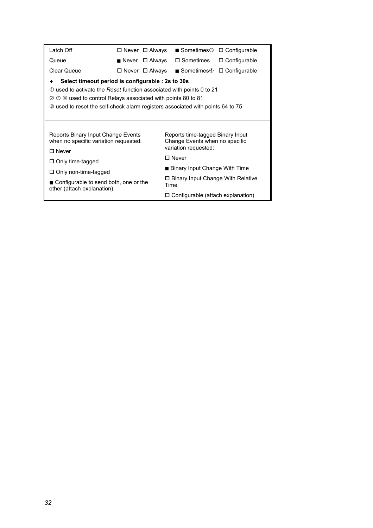| Latch Off                                                                                                                                                                                                                                                                                       | $\Box$ Never $\Box$ Always |  |      |                                                                                                                                                                                                                                             | ■ Sometimes <sup>3</sup> □ Configurable |
|-------------------------------------------------------------------------------------------------------------------------------------------------------------------------------------------------------------------------------------------------------------------------------------------------|----------------------------|--|------|---------------------------------------------------------------------------------------------------------------------------------------------------------------------------------------------------------------------------------------------|-----------------------------------------|
| Queue                                                                                                                                                                                                                                                                                           | Never $\Box$ Always        |  |      | $\square$ Sometimes                                                                                                                                                                                                                         | $\Box$ Configurable                     |
| <b>Clear Queue</b>                                                                                                                                                                                                                                                                              | $\Box$ Never $\Box$ Always |  |      |                                                                                                                                                                                                                                             | Sometimes $\oplus$ $\Box$ Configurable  |
| Select timeout period is configurable : 2s to 30s<br>12 0 used to activate the Reset function associated with points 0 to 21<br><b>3 4 used to control Relays associated with points 80 to 81</b><br>Ø<br><b>3</b> used to reset the self-check alarm registers associated with points 64 to 75 |                            |  |      |                                                                                                                                                                                                                                             |                                         |
| Reports Binary Input Change Events<br>when no specific variation requested:<br>$\square$ Never<br>$\Box$ Only time-tagged<br>$\Box$ Only non-time-tagged<br>■ Configurable to send both, one or the<br>other (attach explanation)                                                               |                            |  | Time | Reports time-tagged Binary Input<br>Change Events when no specific<br>variation requested:<br>$\square$ Never<br>■ Binary Input Change With Time<br>$\square$ Binary Input Change With Relative<br>$\Box$ Configurable (attach explanation) |                                         |